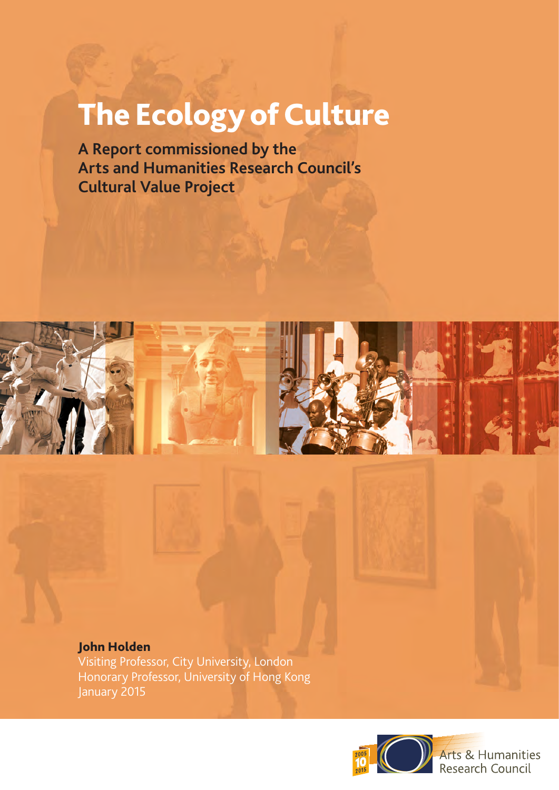# The Ecology of Culture

**A Report commissioned by the Arts and Humanities Research Council's Cultural Value Project**



### John Holden

Visiting Professor, City University, London Honorary Professor, University of Hong Kong January 2015



Arts & Humanities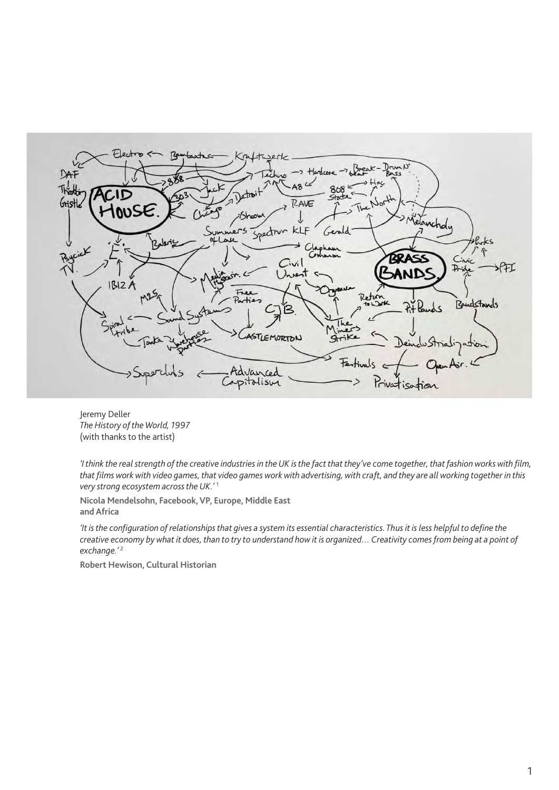

Jeremy Deller *The History of the World, 1997*  (with thanks to the artist)

*'I think the real strength of the creative industries in the UK is the fact that they've come together, that fashion works with film, that films work with video games, that video games work with advertising, with craft, and they are all working together in this very strong ecosystem across the UK.'* <sup>1</sup>

**Nicola Mendelsohn, Facebook, VP, Europe, Middle East and Africa**

*'It is the configuration of relationships that gives a system its essential characteristics. Thus it is less helpful to define the creative economy by what it does, than to try to understand how it is organized… Creativity comes from being at a point of exchange.'* <sup>2</sup>

**Robert Hewison, Cultural Historian**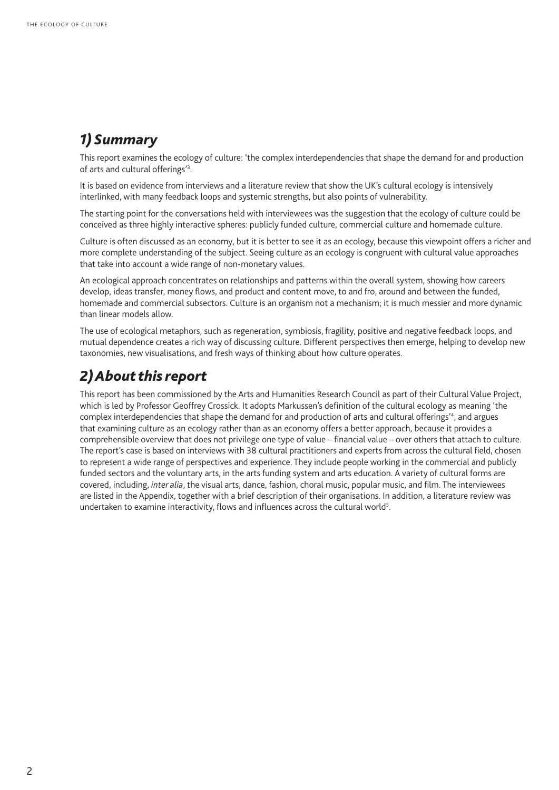### *1) Summary*

This report examines the ecology of culture: 'the complex interdependencies that shape the demand for and production of arts and cultural offerings<sup>'3</sup>.

It is based on evidence from interviews and a literature review that show the UK's cultural ecology is intensively interlinked, with many feedback loops and systemic strengths, but also points of vulnerability.

The starting point for the conversations held with interviewees was the suggestion that the ecology of culture could be conceived as three highly interactive spheres: publicly funded culture, commercial culture and homemade culture.

Culture is often discussed as an economy, but it is better to see it as an ecology, because this viewpoint offers a richer and more complete understanding of the subject. Seeing culture as an ecology is congruent with cultural value approaches that take into account a wide range of non-monetary values.

An ecological approach concentrates on relationships and patterns within the overall system, showing how careers develop, ideas transfer, money flows, and product and content move, to and fro, around and between the funded, homemade and commercial subsectors. Culture is an organism not a mechanism; it is much messier and more dynamic than linear models allow.

The use of ecological metaphors, such as regeneration, symbiosis, fragility, positive and negative feedback loops, and mutual dependence creates a rich way of discussing culture. Different perspectives then emerge, helping to develop new taxonomies, new visualisations, and fresh ways of thinking about how culture operates.

# *2) About this report*

This report has been commissioned by the Arts and Humanities Research Council as part of their Cultural Value Project, which is led by Professor Geoffrey Crossick. It adopts Markussen's definition of the cultural ecology as meaning 'the complex interdependencies that shape the demand for and production of arts and cultural offerings'<sup>4</sup>, and argues that examining culture as an ecology rather than as an economy offers a better approach, because it provides a comprehensible overview that does not privilege one type of value – financial value – over others that attach to culture. The report's case is based on interviews with 38 cultural practitioners and experts from across the cultural field, chosen to represent a wide range of perspectives and experience. They include people working in the commercial and publicly funded sectors and the voluntary arts, in the arts funding system and arts education. A variety of cultural forms are covered, including, *inter alia*, the visual arts, dance, fashion, choral music, popular music, and film. The interviewees are listed in the Appendix, together with a brief description of their organisations. In addition, a literature review was undertaken to examine interactivity, flows and influences across the cultural world<sup>5</sup>.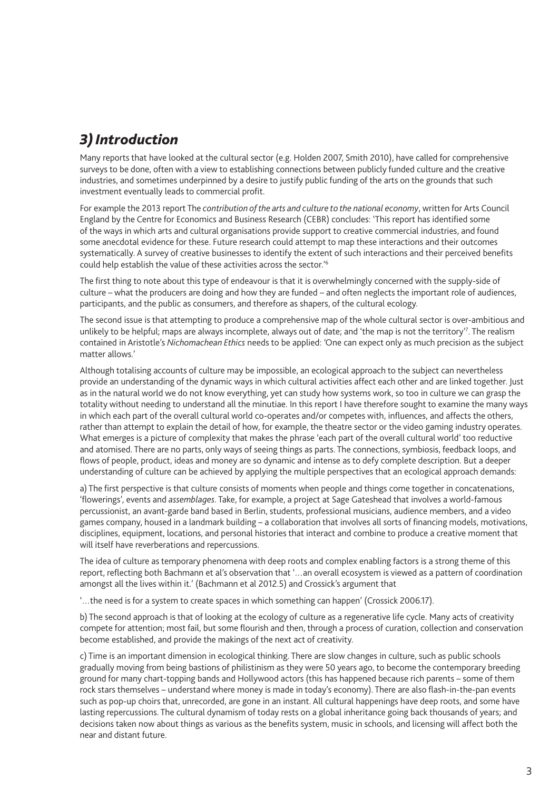### *3) Introduction*

Many reports that have looked at the cultural sector (e.g. Holden 2007, Smith 2010), have called for comprehensive surveys to be done, often with a view to establishing connections between publicly funded culture and the creative industries, and sometimes underpinned by a desire to justify public funding of the arts on the grounds that such investment eventually leads to commercial profit.

For example the 2013 report The *contribution of the arts and culture to the national economy*, written for Arts Council England by the Centre for Economics and Business Research (CEBR) concludes: 'This report has identified some of the ways in which arts and cultural organisations provide support to creative commercial industries, and found some anecdotal evidence for these. Future research could attempt to map these interactions and their outcomes systematically. A survey of creative businesses to identify the extent of such interactions and their perceived benefits could help establish the value of these activities across the sector.'6

The first thing to note about this type of endeavour is that it is overwhelmingly concerned with the supply-side of culture – what the producers are doing and how they are funded – and often neglects the important role of audiences, participants, and the public as consumers, and therefore as shapers, of the cultural ecology.

The second issue is that attempting to produce a comprehensive map of the whole cultural sector is over-ambitious and unlikely to be helpful; maps are always incomplete, always out of date; and 'the map is not the territory'7 . The realism contained in Aristotle's *Nichomachean Ethics* needs to be applied: *'*One can expect only as much precision as the subject matter allows.'

Although totalising accounts of culture may be impossible, an ecological approach to the subject can nevertheless provide an understanding of the dynamic ways in which cultural activities affect each other and are linked together. Just as in the natural world we do not know everything, yet can study how systems work, so too in culture we can grasp the totality without needing to understand all the minutiae. In this report I have therefore sought to examine the many ways in which each part of the overall cultural world co-operates and/or competes with, influences, and affects the others, rather than attempt to explain the detail of how, for example, the theatre sector or the video gaming industry operates. What emerges is a picture of complexity that makes the phrase 'each part of the overall cultural world' too reductive and atomised. There are no parts, only ways of seeing things as parts. The connections, symbiosis, feedback loops, and flows of people, product, ideas and money are so dynamic and intense as to defy complete description. But a deeper understanding of culture can be achieved by applying the multiple perspectives that an ecological approach demands:

a) The first perspective is that culture consists of moments when people and things come together in concatenations, 'flowerings', events and *assemblages*. Take, for example, a project at Sage Gateshead that involves a world-famous percussionist, an avant-garde band based in Berlin, students, professional musicians, audience members, and a video games company, housed in a landmark building – a collaboration that involves all sorts of financing models, motivations, disciplines, equipment, locations, and personal histories that interact and combine to produce a creative moment that will itself have reverberations and repercussions.

The idea of culture as temporary phenomena with deep roots and complex enabling factors is a strong theme of this report, reflecting both Bachmann et al's observation that '…an overall ecosystem is viewed as a pattern of coordination amongst all the lives within it.' (Bachmann et al 2012.5) and Crossick's argument that

'…the need is for a system to create spaces in which something can happen' (Crossick 2006.17).

b) The second approach is that of looking at the ecology of culture as a regenerative life cycle. Many acts of creativity compete for attention; most fail, but some flourish and then, through a process of curation, collection and conservation become established, and provide the makings of the next act of creativity.

c) Time is an important dimension in ecological thinking. There are slow changes in culture, such as public schools gradually moving from being bastions of philistinism as they were 50 years ago, to become the contemporary breeding ground for many chart-topping bands and Hollywood actors (this has happened because rich parents – some of them rock stars themselves – understand where money is made in today's economy). There are also flash-in-the-pan events such as pop-up choirs that, unrecorded, are gone in an instant. All cultural happenings have deep roots, and some have lasting repercussions. The cultural dynamism of today rests on a global inheritance going back thousands of years; and decisions taken now about things as various as the benefits system, music in schools, and licensing will affect both the near and distant future.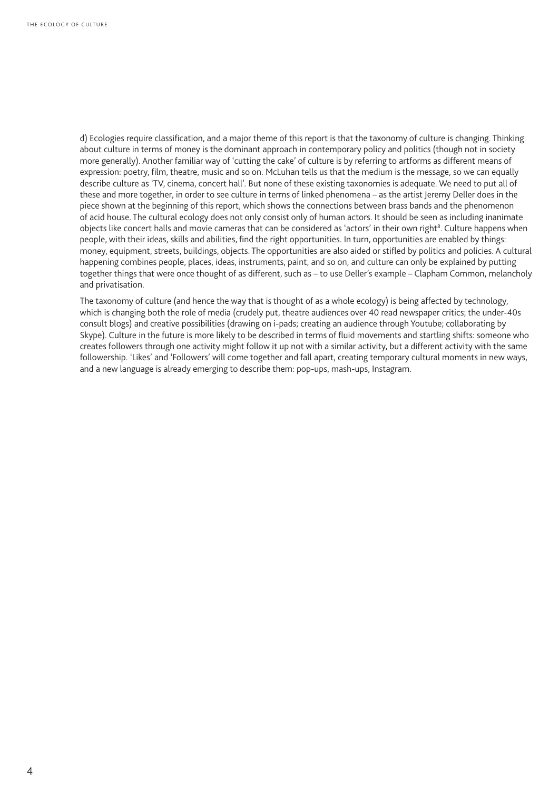d) Ecologies require classification, and a major theme of this report is that the taxonomy of culture is changing. Thinking about culture in terms of money is the dominant approach in contemporary policy and politics (though not in society more generally). Another familiar way of 'cutting the cake' of culture is by referring to artforms as different means of expression: poetry, film, theatre, music and so on. McLuhan tells us that the medium is the message, so we can equally describe culture as 'TV, cinema, concert hall'. But none of these existing taxonomies is adequate. We need to put all of these and more together, in order to see culture in terms of linked phenomena – as the artist Jeremy Deller does in the piece shown at the beginning of this report, which shows the connections between brass bands and the phenomenon of acid house. The cultural ecology does not only consist only of human actors. It should be seen as including inanimate objects like concert halls and movie cameras that can be considered as 'actors' in their own right<sup>8</sup>. Culture happens when people, with their ideas, skills and abilities, find the right opportunities. In turn, opportunities are enabled by things: money, equipment, streets, buildings, objects. The opportunities are also aided or stifled by politics and policies. A cultural happening combines people, places, ideas, instruments, paint, and so on, and culture can only be explained by putting together things that were once thought of as different, such as – to use Deller's example – Clapham Common, melancholy and privatisation.

The taxonomy of culture (and hence the way that is thought of as a whole ecology) is being affected by technology, which is changing both the role of media (crudely put, theatre audiences over 40 read newspaper critics; the under-40s consult blogs) and creative possibilities (drawing on i-pads; creating an audience through Youtube; collaborating by Skype). Culture in the future is more likely to be described in terms of fluid movements and startling shifts: someone who creates followers through one activity might follow it up not with a similar activity, but a different activity with the same followership. 'Likes' and 'Followers' will come together and fall apart, creating temporary cultural moments in new ways, and a new language is already emerging to describe them: pop-ups, mash-ups, Instagram.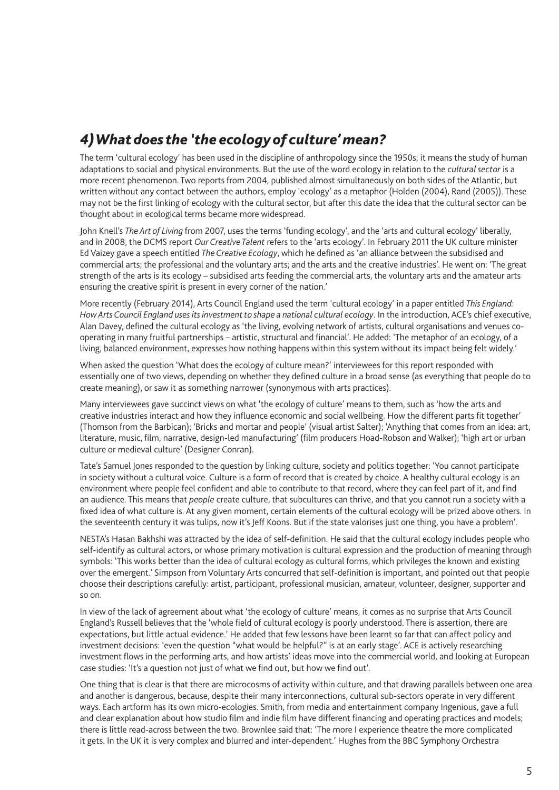### *4) What does the ' the ecology of culture' mean?*

The term 'cultural ecology' has been used in the discipline of anthropology since the 1950s; it means the study of human adaptations to social and physical environments. But the use of the word ecology in relation to the *cultural sector* is a more recent phenomenon. Two reports from 2004, published almost simultaneously on both sides of the Atlantic, but written without any contact between the authors, employ 'ecology' as a metaphor (Holden (2004), Rand (2005)). These may not be the first linking of ecology with the cultural sector, but after this date the idea that the cultural sector can be thought about in ecological terms became more widespread.

John Knell's *The Art of Living* from 2007, uses the terms 'funding ecology', and the 'arts and cultural ecology' liberally, and in 2008, the DCMS report *Our Creative Talent* refers to the 'arts ecology'. In February 2011 the UK culture minister Ed Vaizey gave a speech entitled *The Creative Ecology*, which he defined as 'an alliance between the subsidised and commercial arts; the professional and the voluntary arts; and the arts and the creative industries'. He went on: 'The great strength of the arts is its ecology – subsidised arts feeding the commercial arts, the voluntary arts and the amateur arts ensuring the creative spirit is present in every corner of the nation.'

More recently (February 2014), Arts Council England used the term 'cultural ecology' in a paper entitled *This England: How Arts Council England uses its investment to shape a national cultural ecology*. In the introduction, ACE's chief executive, Alan Davey, defined the cultural ecology as 'the living, evolving network of artists, cultural organisations and venues cooperating in many fruitful partnerships – artistic, structural and financial'. He added: 'The metaphor of an ecology, of a living, balanced environment, expresses how nothing happens within this system without its impact being felt widely.'

When asked the question 'What does the ecology of culture mean?' interviewees for this report responded with essentially one of two views, depending on whether they defined culture in a broad sense (as everything that people do to create meaning), or saw it as something narrower (synonymous with arts practices).

Many interviewees gave succinct views on what 'the ecology of culture' means to them, such as 'how the arts and creative industries interact and how they influence economic and social wellbeing. How the different parts fit together' (Thomson from the Barbican); 'Bricks and mortar and people' (visual artist Salter); 'Anything that comes from an idea: art, literature, music, film, narrative, design-led manufacturing' (film producers Hoad-Robson and Walker); 'high art or urban culture or medieval culture' (Designer Conran).

Tate's Samuel Jones responded to the question by linking culture, society and politics together: 'You cannot participate in society without a cultural voice. Culture is a form of record that is created by choice. A healthy cultural ecology is an environment where people feel confident and able to contribute to that record, where they can feel part of it, and find an audience. This means that *people* create culture, that subcultures can thrive, and that you cannot run a society with a fixed idea of what culture is. At any given moment, certain elements of the cultural ecology will be prized above others. In the seventeenth century it was tulips, now it's Jeff Koons. But if the state valorises just one thing, you have a problem'.

NESTA's Hasan Bakhshi was attracted by the idea of self-definition. He said that the cultural ecology includes people who self-identify as cultural actors, or whose primary motivation is cultural expression and the production of meaning through symbols: 'This works better than the idea of cultural ecology as cultural forms, which privileges the known and existing over the emergent.' Simpson from Voluntary Arts concurred that self-definition is important, and pointed out that people choose their descriptions carefully: artist, participant, professional musician, amateur, volunteer, designer, supporter and so on.

In view of the lack of agreement about what 'the ecology of culture' means, it comes as no surprise that Arts Council England's Russell believes that the 'whole field of cultural ecology is poorly understood. There is assertion, there are expectations, but little actual evidence.' He added that few lessons have been learnt so far that can affect policy and investment decisions: 'even the question "what would be helpful?" is at an early stage'. ACE is actively researching investment flows in the performing arts, and how artists' ideas move into the commercial world, and looking at European case studies: 'It's a question not just of what we find out, but how we find out'.

One thing that is clear is that there are microcosms of activity within culture, and that drawing parallels between one area and another is dangerous, because, despite their many interconnections, cultural sub-sectors operate in very different ways. Each artform has its own micro-ecologies. Smith, from media and entertainment company Ingenious, gave a full and clear explanation about how studio film and indie film have different financing and operating practices and models; there is little read-across between the two. Brownlee said that: 'The more I experience theatre the more complicated it gets. In the UK it is very complex and blurred and inter-dependent.' Hughes from the BBC Symphony Orchestra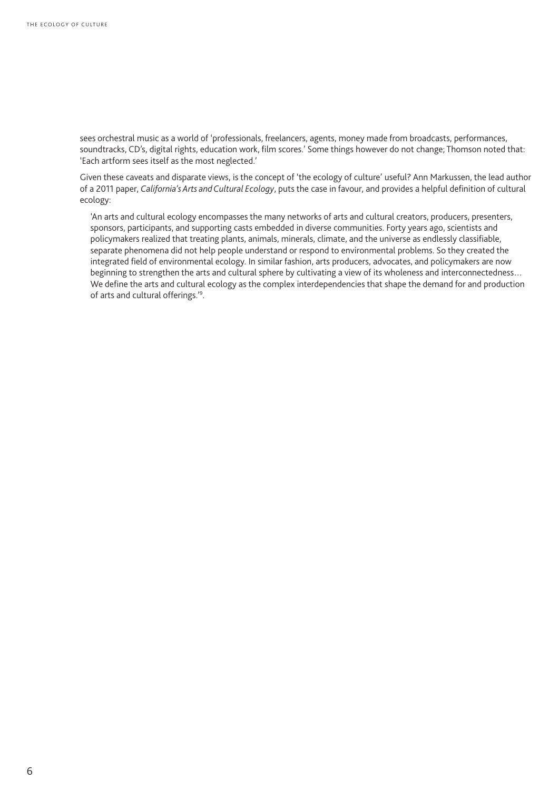sees orchestral music as a world of 'professionals, freelancers, agents, money made from broadcasts, performances, soundtracks, CD's, digital rights, education work, film scores.' Some things however do not change; Thomson noted that: 'Each artform sees itself as the most neglected.'

Given these caveats and disparate views, is the concept of 'the ecology of culture' useful? Ann Markussen, the lead author of a 2011 paper, *California's Arts and Cultural Ecology*, puts the case in favour, and provides a helpful definition of cultural ecology:

'An arts and cultural ecology encompasses the many networks of arts and cultural creators, producers, presenters, sponsors, participants, and supporting casts embedded in diverse communities. Forty years ago, scientists and policymakers realized that treating plants, animals, minerals, climate, and the universe as endlessly classifiable, separate phenomena did not help people understand or respond to environmental problems. So they created the integrated field of environmental ecology. In similar fashion, arts producers, advocates, and policymakers are now beginning to strengthen the arts and cultural sphere by cultivating a view of its wholeness and interconnectedness… We define the arts and cultural ecology as the complex interdependencies that shape the demand for and production of arts and cultural offerings.'9 .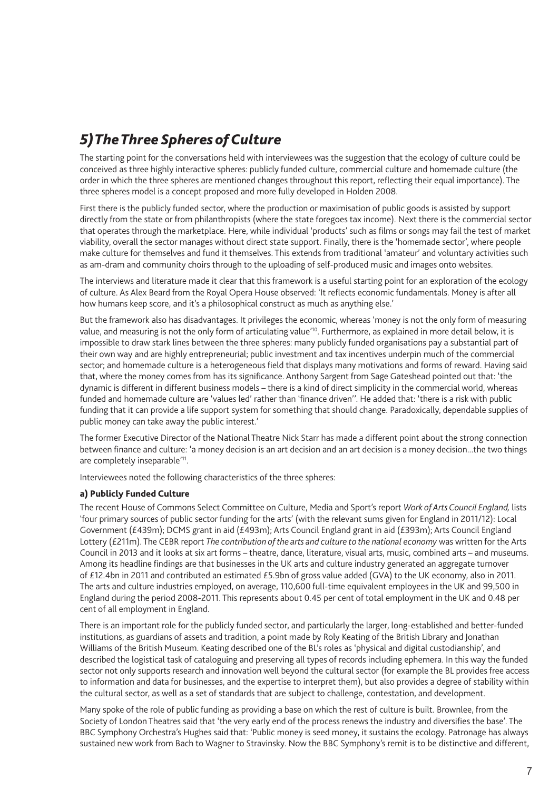### *5) The Three Spheres of Culture*

The starting point for the conversations held with interviewees was the suggestion that the ecology of culture could be conceived as three highly interactive spheres: publicly funded culture, commercial culture and homemade culture (the order in which the three spheres are mentioned changes throughout this report, reflecting their equal importance). The three spheres model is a concept proposed and more fully developed in Holden 2008.

First there is the publicly funded sector, where the production or maximisation of public goods is assisted by support directly from the state or from philanthropists (where the state foregoes tax income). Next there is the commercial sector that operates through the marketplace. Here, while individual 'products' such as films or songs may fail the test of market viability, overall the sector manages without direct state support. Finally, there is the 'homemade sector', where people make culture for themselves and fund it themselves. This extends from traditional 'amateur' and voluntary activities such as am-dram and community choirs through to the uploading of self-produced music and images onto websites.

The interviews and literature made it clear that this framework is a useful starting point for an exploration of the ecology of culture. As Alex Beard from the Royal Opera House observed: 'It reflects economic fundamentals. Money is after all how humans keep score, and it's a philosophical construct as much as anything else.'

But the framework also has disadvantages. It privileges the economic, whereas 'money is not the only form of measuring value, and measuring is not the only form of articulating value<sup>'10</sup>. Furthermore, as explained in more detail below, it is impossible to draw stark lines between the three spheres: many publicly funded organisations pay a substantial part of their own way and are highly entrepreneurial; public investment and tax incentives underpin much of the commercial sector; and homemade culture is a heterogeneous field that displays many motivations and forms of reward. Having said that, where the money comes from has its significance. Anthony Sargent from Sage Gateshead pointed out that: 'the dynamic is different in different business models – there is a kind of direct simplicity in the commercial world, whereas funded and homemade culture are 'values led' rather than 'finance driven''. He added that: 'there is a risk with public funding that it can provide a life support system for something that should change. Paradoxically, dependable supplies of public money can take away the public interest.'

The former Executive Director of the National Theatre Nick Starr has made a different point about the strong connection between finance and culture: 'a money decision is an art decision and an art decision is a money decision...the two things are completely inseparable'11.

Interviewees noted the following characteristics of the three spheres:

#### a) Publicly Funded Culture

The recent House of Commons Select Committee on Culture, Media and Sport's report *Work of Arts Council England,* lists 'four primary sources of public sector funding for the arts' (with the relevant sums given for England in 2011/12): Local Government (£439m); DCMS grant in aid (£493m); Arts Council England grant in aid (£393m); Arts Council England Lottery (£211m). The CEBR report *The contribution of the arts and culture to the national economy* was written for the Arts Council in 2013 and it looks at six art forms – theatre, dance, literature, visual arts, music, combined arts – and museums. Among its headline findings are that businesses in the UK arts and culture industry generated an aggregate turnover of £12.4bn in 2011 and contributed an estimated £5.9bn of gross value added (GVA) to the UK economy, also in 2011. The arts and culture industries employed, on average, 110,600 full-time equivalent employees in the UK and 99,500 in England during the period 2008-2011. This represents about 0.45 per cent of total employment in the UK and 0.48 per cent of all employment in England.

There is an important role for the publicly funded sector, and particularly the larger, long-established and better-funded institutions, as guardians of assets and tradition, a point made by Roly Keating of the British Library and Jonathan Williams of the British Museum. Keating described one of the BL's roles as 'physical and digital custodianship', and described the logistical task of cataloguing and preserving all types of records including ephemera. In this way the funded sector not only supports research and innovation well beyond the cultural sector (for example the BL provides free access to information and data for businesses, and the expertise to interpret them), but also provides a degree of stability within the cultural sector, as well as a set of standards that are subject to challenge, contestation, and development.

Many spoke of the role of public funding as providing a base on which the rest of culture is built. Brownlee, from the Society of London Theatres said that 'the very early end of the process renews the industry and diversifies the base'. The BBC Symphony Orchestra's Hughes said that: 'Public money is seed money, it sustains the ecology. Patronage has always sustained new work from Bach to Wagner to Stravinsky. Now the BBC Symphony's remit is to be distinctive and different,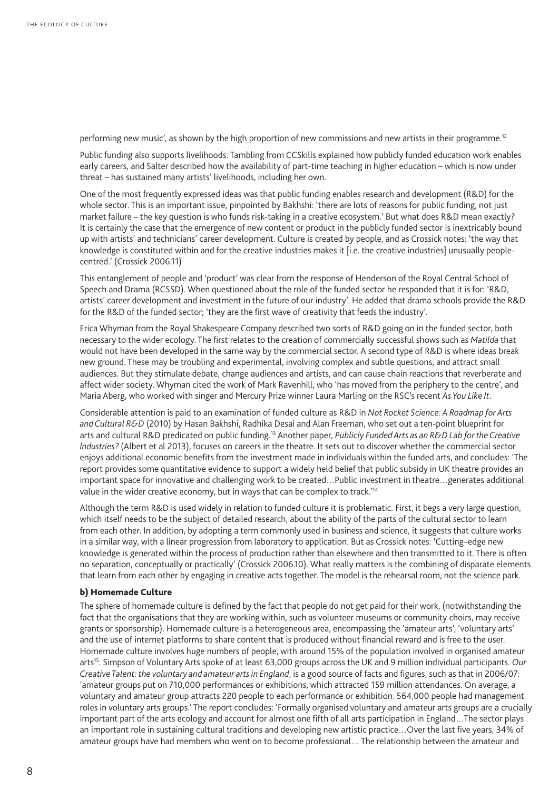performing new music', as shown by the high proportion of new commissions and new artists in their programme.<sup>12</sup>

Public funding also supports livelihoods. Tambling from CCSkills explained how publicly funded education work enables early careers, and Salter described how the availability of part-time teaching in higher education – which is now under threat – has sustained many artists' livelihoods, including her own.

One of the most frequently expressed ideas was that public funding enables research and development (R&D) for the whole sector. This is an important issue, pinpointed by Bakhshi: 'there are lots of reasons for public funding, not just market failure – the key question is who funds risk-taking in a creative ecosystem.' But what does R&D mean exactly? It is certainly the case that the emergence of new content or product in the publicly funded sector is inextricably bound up with artists' and technicians' career development. Culture is created by people, and as Crossick notes: 'the way that knowledge is constituted within and for the creative industries makes it [i.e. the creative industries] unusually peoplecentred.' (Crossick 2006.11)

This entanglement of people and 'product' was clear from the response of Henderson of the Royal Central School of Speech and Drama (RCSSD). When questioned about the role of the funded sector he responded that it is for: 'R&D, artists' career development and investment in the future of our industry'. He added that drama schools provide the R&D for the R&D of the funded sector; 'they are the first wave of creativity that feeds the industry'.

Erica Whyman from the Royal Shakespeare Company described two sorts of R&D going on in the funded sector, both necessary to the wider ecology. The first relates to the creation of commercially successful shows such as *Matilda* that would not have been developed in the same way by the commercial sector. A second type of R&D is where ideas break new ground. These may be troubling and experimental, involving complex and subtle questions, and attract small audiences. But they stimulate debate, change audiences and artists, and can cause chain reactions that reverberate and affect wider society. Whyman cited the work of Mark Ravenhill, who 'has moved from the periphery to the centre', and Maria Aberg, who worked with singer and Mercury Prize winner Laura Marling on the RSC's recent *As You Like It*.

Considerable attention is paid to an examination of funded culture as R&D in *Not Rocket Science: A Roadmap for Arts and Cultural R&D* (2010) by Hasan Bakhshi, Radhika Desai and Alan Freeman, who set out a ten-point blueprint for arts and cultural R&D predicated on public funding.13 Another paper, *Publicly Funded Arts as an R&D Lab for the Creative Industries?* (Albert et al 2013), focuses on careers in the theatre. It sets out to discover whether the commercial sector enjoys additional economic benefits from the investment made in individuals within the funded arts, and concludes: 'The report provides some quantitative evidence to support a widely held belief that public subsidy in UK theatre provides an important space for innovative and challenging work to be created…Public investment in theatre…generates additional value in the wider creative economy, but in ways that can be complex to track.<sup>'14</sup>

Although the term R&D is used widely in relation to funded culture it is problematic. First, it begs a very large question, which itself needs to be the subject of detailed research, about the ability of the parts of the cultural sector to learn from each other. In addition, by adopting a term commonly used in business and science, it suggests that culture works in a similar way, with a linear progression from laboratory to application. But as Crossick notes: 'Cutting–edge new knowledge is generated within the process of production rather than elsewhere and then transmitted to it. There is often no separation, conceptually or practically' (Crossick 2006.10). What really matters is the combining of disparate elements that learn from each other by engaging in creative acts together. The model is the rehearsal room, not the science park.

#### b) Homemade Culture

The sphere of homemade culture is defined by the fact that people do not get paid for their work, (notwithstanding the fact that the organisations that they are working within, such as volunteer museums or community choirs, may receive grants or sponsorship). Homemade culture is a heterogeneous area, encompassing the 'amateur arts', 'voluntary arts' and the use of internet platforms to share content that is produced without financial reward and is free to the user. Homemade culture involves huge numbers of people, with around 15% of the population involved in organised amateur arts15. Simpson of Voluntary Arts spoke of at least 63,000 groups across the UK and 9 million individual participants. *Our Creative Talent: the voluntary and amateur arts in England*, is a good source of facts and figures, such as that in 2006/07: 'amateur groups put on 710,000 performances or exhibitions, which attracted 159 million attendances. On average, a voluntary and amateur group attracts 220 people to each performance or exhibition. 564,000 people had management roles in voluntary arts groups.' The report concludes: 'Formally organised voluntary and amateur arts groups are a crucially important part of the arts ecology and account for almost one fifth of all arts participation in England…The sector plays an important role in sustaining cultural traditions and developing new artistic practice…Over the last five years, 34% of amateur groups have had members who went on to become professional… The relationship between the amateur and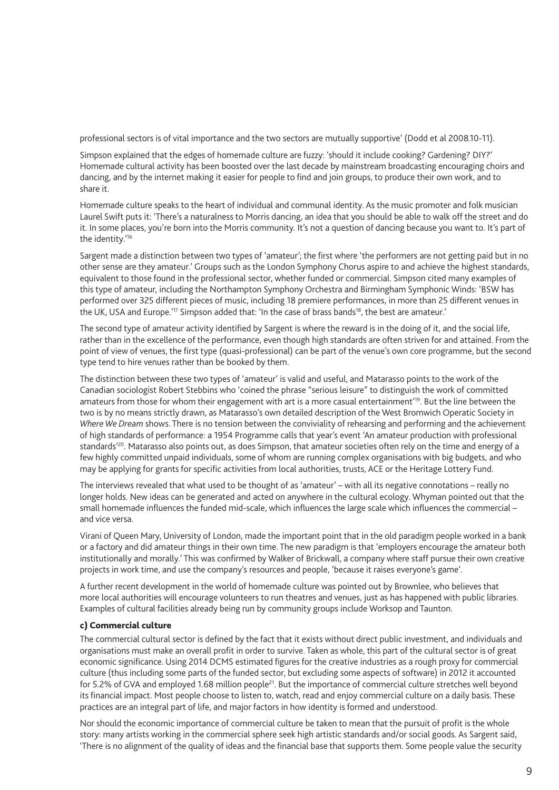professional sectors is of vital importance and the two sectors are mutually supportive' (Dodd et al 2008.10-11).

Simpson explained that the edges of homemade culture are fuzzy: 'should it include cooking? Gardening? DIY?' Homemade cultural activity has been boosted over the last decade by mainstream broadcasting encouraging choirs and dancing, and by the internet making it easier for people to find and join groups, to produce their own work, and to share it.

Homemade culture speaks to the heart of individual and communal identity. As the music promoter and folk musician Laurel Swift puts it: 'There's a naturalness to Morris dancing, an idea that you should be able to walk off the street and do it. In some places, you're born into the Morris community. It's not a question of dancing because you want to. It's part of the identity.'16

Sargent made a distinction between two types of 'amateur'; the first where 'the performers are not getting paid but in no other sense are they amateur.' Groups such as the London Symphony Chorus aspire to and achieve the highest standards, equivalent to those found in the professional sector, whether funded or commercial. Simpson cited many examples of this type of amateur, including the Northampton Symphony Orchestra and Birmingham Symphonic Winds: 'BSW has performed over 325 different pieces of music, including 18 premiere performances, in more than 25 different venues in the UK, USA and Europe.'<sup>17</sup> Simpson added that: 'In the case of brass bands<sup>18</sup>, the best are amateur.'

The second type of amateur activity identified by Sargent is where the reward is in the doing of it, and the social life, rather than in the excellence of the performance, even though high standards are often striven for and attained. From the point of view of venues, the first type (quasi-professional) can be part of the venue's own core programme, but the second type tend to hire venues rather than be booked by them.

The distinction between these two types of 'amateur' is valid and useful, and Matarasso points to the work of the Canadian sociologist Robert Stebbins who 'coined the phrase "serious leisure" to distinguish the work of committed amateurs from those for whom their engagement with art is a more casual entertainment'19. But the line between the two is by no means strictly drawn, as Matarasso's own detailed description of the West Bromwich Operatic Society in *Where We Dream* shows. There is no tension between the conviviality of rehearsing and performing and the achievement of high standards of performance: a 1954 Programme calls that year's event 'An amateur production with professional standards<sup>'20</sup>. Matarasso also points out, as does Simpson, that amateur societies often rely on the time and energy of a few highly committed unpaid individuals, some of whom are running complex organisations with big budgets, and who may be applying for grants for specific activities from local authorities, trusts, ACE or the Heritage Lottery Fund.

The interviews revealed that what used to be thought of as 'amateur' – with all its negative connotations – really no longer holds. New ideas can be generated and acted on anywhere in the cultural ecology. Whyman pointed out that the small homemade influences the funded mid-scale, which influences the large scale which influences the commercial – and vice versa.

Virani of Queen Mary, University of London, made the important point that in the old paradigm people worked in a bank or a factory and did amateur things in their own time. The new paradigm is that 'employers encourage the amateur both institutionally and morally.' This was confirmed by Walker of Brickwall, a company where staff pursue their own creative projects in work time, and use the company's resources and people, 'because it raises everyone's game'.

A further recent development in the world of homemade culture was pointed out by Brownlee, who believes that more local authorities will encourage volunteers to run theatres and venues, just as has happened with public libraries. Examples of cultural facilities already being run by community groups include Worksop and Taunton.

#### c) Commercial culture

The commercial cultural sector is defined by the fact that it exists without direct public investment, and individuals and organisations must make an overall profit in order to survive. Taken as whole, this part of the cultural sector is of great economic significance. Using 2014 DCMS estimated figures for the creative industries as a rough proxy for commercial culture (thus including some parts of the funded sector, but excluding some aspects of software) in 2012 it accounted for 5.2% of GVA and employed 1.68 million people<sup>21</sup>. But the importance of commercial culture stretches well beyond its financial impact. Most people choose to listen to, watch, read and enjoy commercial culture on a daily basis. These practices are an integral part of life, and major factors in how identity is formed and understood.

Nor should the economic importance of commercial culture be taken to mean that the pursuit of profit is the whole story: many artists working in the commercial sphere seek high artistic standards and/or social goods. As Sargent said, 'There is no alignment of the quality of ideas and the financial base that supports them. Some people value the security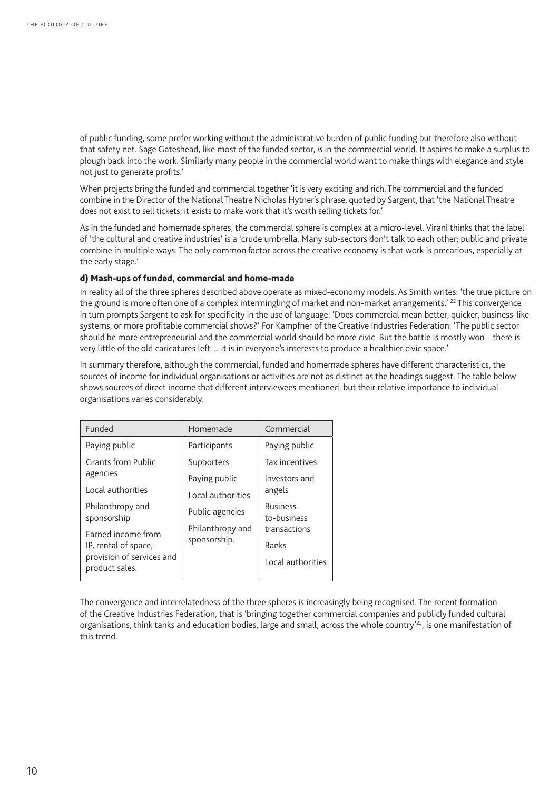of public funding, some prefer working without the administrative burden of public funding but therefore also without that safety net. Sage Gateshead, like most of the funded sector, *is* in the commercial world. It aspires to make a surplus to plough back into the work. Similarly many people in the commercial world want to make things with elegance and style not just to generate profits.'

When projects bring the funded and commercial together 'it is very exciting and rich. The commercial and the funded combine in the Director of the National Theatre Nicholas Hytner's phrase, quoted by Sargent, that 'the National Theatre does not exist to sell tickets; it exists to make work that it's worth selling tickets for.'

As in the funded and homemade spheres, the commercial sphere is complex at a micro-level. Virani thinks that the label of 'the cultural and creative industries' is a 'crude umbrella. Many sub-sectors don't talk to each other; public and private combine in multiple ways. The only common factor across the creative economy is that work is precarious, especially at the early stage.'

#### d) Mash-ups of funded, commercial and home-made

In reality all of the three spheres described above operate as mixed-economy models. As Smith writes: 'the true picture on the ground is more often one of a complex intermingling of market and non-market arrangements.' <sup>22</sup> This convergence in turn prompts Sargent to ask for specificity in the use of language: 'Does commercial mean better, quicker, business-like systems, or more profitable commercial shows?' For Kampfner of the Creative Industries Federation: 'The public sector should be more entrepreneurial and the commercial world should be more civic. But the battle is mostly won – there is very little of the old caricatures left… it is in everyone's interests to produce a healthier civic space.'

In summary therefore, although the commercial, funded and homemade spheres have different characteristics, the sources of income for individual organisations or activities are not as distinct as the headings suggest. The table below shows sources of direct income that different interviewees mentioned, but their relative importance to individual organisations varies considerably.

| Funded                                                                                    | Homemade                         | Commercial               |
|-------------------------------------------------------------------------------------------|----------------------------------|--------------------------|
| Paying public                                                                             | Participants                     | Paying public            |
| <b>Grants from Public</b>                                                                 | Supporters                       | Tax incentives           |
| agencies                                                                                  | Paying public                    | Investors and            |
| Local authorities                                                                         | Local authorities                | angels                   |
| Philanthropy and<br>sponsorship                                                           | Public agencies                  | Business-<br>to-business |
| Farned income from<br>IP, rental of space,<br>provision of services and<br>product sales. | Philanthropy and<br>sponsorship. | transactions             |
|                                                                                           |                                  | <b>Banks</b>             |
|                                                                                           |                                  | Local authorities        |
|                                                                                           |                                  |                          |

The convergence and interrelatedness of the three spheres is increasingly being recognised. The recent formation of the Creative Industries Federation, that is 'bringing together commercial companies and publicly funded cultural organisations, think tanks and education bodies, large and small, across the whole country<sup>'23</sup>, is one manifestation of this trend.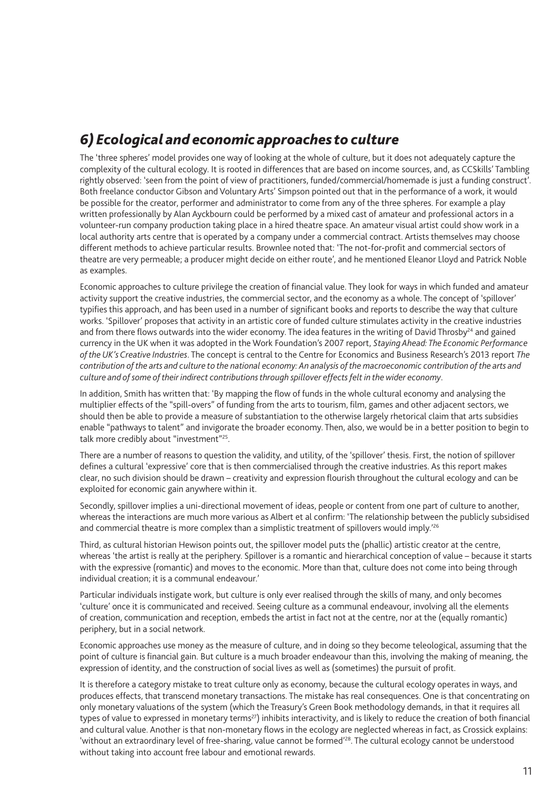### *6) Ecological and economic approaches to culture*

The 'three spheres' model provides one way of looking at the whole of culture, but it does not adequately capture the complexity of the cultural ecology. It is rooted in differences that are based on income sources, and, as CCSkills' Tambling rightly observed: 'seen from the point of view of practitioners, funded/commercial/homemade is just a funding construct'. Both freelance conductor Gibson and Voluntary Arts' Simpson pointed out that in the performance of a work, it would be possible for the creator, performer and administrator to come from any of the three spheres. For example a play written professionally by Alan Ayckbourn could be performed by a mixed cast of amateur and professional actors in a volunteer-run company production taking place in a hired theatre space. An amateur visual artist could show work in a local authority arts centre that is operated by a company under a commercial contract. Artists themselves may choose different methods to achieve particular results. Brownlee noted that: 'The not-for-profit and commercial sectors of theatre are very permeable; a producer might decide on either route', and he mentioned Eleanor Lloyd and Patrick Noble as examples.

Economic approaches to culture privilege the creation of financial value. They look for ways in which funded and amateur activity support the creative industries, the commercial sector, and the economy as a whole. The concept of 'spillover' typifies this approach, and has been used in a number of significant books and reports to describe the way that culture works. 'Spillover' proposes that activity in an artistic core of funded culture stimulates activity in the creative industries and from there flows outwards into the wider economy. The idea features in the writing of David Throsby<sup>24</sup> and gained currency in the UK when it was adopted in the Work Foundation's 2007 report, *Staying Ahead: The Economic Performance of the UK's Creative Industries*. The concept is central to the Centre for Economics and Business Research's 2013 report *The contribution of the arts and culture to the national economy: An analysis of the macroeconomic contribution of the arts and culture and of some of their indirect contributions through spillover effects felt in the wider economy*.

In addition, Smith has written that: 'By mapping the flow of funds in the whole cultural economy and analysing the multiplier effects of the "spill-overs" of funding from the arts to tourism, film, games and other adjacent sectors, we should then be able to provide a measure of substantiation to the otherwise largely rhetorical claim that arts subsidies enable "pathways to talent" and invigorate the broader economy. Then, also, we would be in a better position to begin to talk more credibly about "investment"25.

There are a number of reasons to question the validity, and utility, of the 'spillover' thesis. First, the notion of spillover defines a cultural 'expressive' core that is then commercialised through the creative industries. As this report makes clear, no such division should be drawn – creativity and expression flourish throughout the cultural ecology and can be exploited for economic gain anywhere within it.

Secondly, spillover implies a uni-directional movement of ideas, people or content from one part of culture to another, whereas the interactions are much more various as Albert et al confirm: 'The relationship between the publicly subsidised and commercial theatre is more complex than a simplistic treatment of spillovers would imply.<sup>'26</sup>

Third, as cultural historian Hewison points out, the spillover model puts the (phallic) artistic creator at the centre, whereas 'the artist is really at the periphery. Spillover is a romantic and hierarchical conception of value – because it starts with the expressive (romantic) and moves to the economic. More than that, culture does not come into being through individual creation; it is a communal endeavour.'

Particular individuals instigate work, but culture is only ever realised through the skills of many, and only becomes 'culture' once it is communicated and received. Seeing culture as a communal endeavour, involving all the elements of creation, communication and reception, embeds the artist in fact not at the centre, nor at the (equally romantic) periphery, but in a social network.

Economic approaches use money as the measure of culture, and in doing so they become teleological, assuming that the point of culture is financial gain. But culture is a much broader endeavour than this, involving the making of meaning, the expression of identity, and the construction of social lives as well as (sometimes) the pursuit of profit.

It is therefore a category mistake to treat culture only as economy, because the cultural ecology operates in ways, and produces effects, that transcend monetary transactions. The mistake has real consequences. One is that concentrating on only monetary valuations of the system (which the Treasury's Green Book methodology demands, in that it requires all types of value to expressed in monetary terms<sup>27</sup>) inhibits interactivity, and is likely to reduce the creation of both financial and cultural value. Another is that non-monetary flows in the ecology are neglected whereas in fact, as Crossick explains: 'without an extraordinary level of free-sharing, value cannot be formed<sup>'28</sup>. The cultural ecology cannot be understood without taking into account free labour and emotional rewards.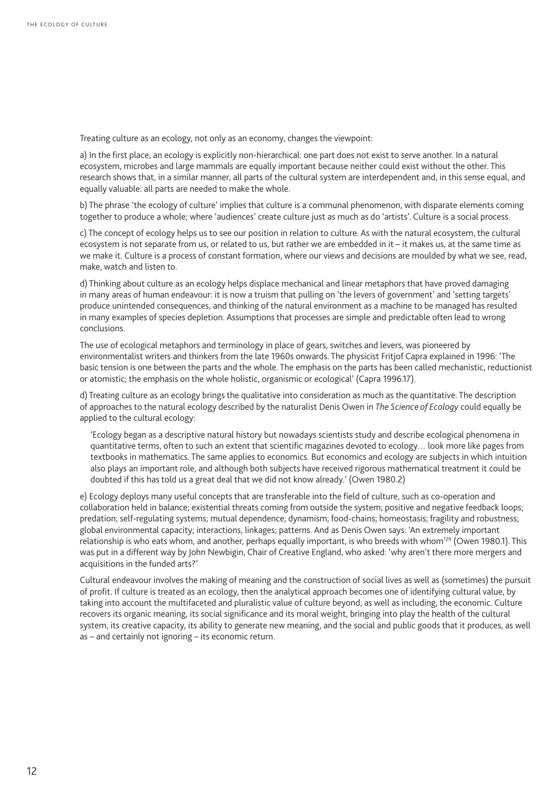Treating culture as an ecology, not only as an economy, changes the viewpoint:

a) In the first place, an ecology is explicitly non-hierarchical: one part does not exist to serve another. In a natural ecosystem, microbes and large mammals are equally important because neither could exist without the other. This research shows that, in a similar manner, all parts of the cultural system are interdependent and, in this sense equal, and equally valuable: all parts are needed to make the whole.

b) The phrase 'the ecology of culture' implies that culture is a communal phenomenon, with disparate elements coming together to produce a whole; where 'audiences' create culture just as much as do 'artists'. Culture is a social process.

c) The concept of ecology helps us to see our position in relation to culture. As with the natural ecosystem, the cultural ecosystem is not separate from us, or related to us, but rather we are embedded in it – it makes us, at the same time as we make it. Culture is a process of constant formation, where our views and decisions are moulded by what we see, read, make, watch and listen to.

d) Thinking about culture as an ecology helps displace mechanical and linear metaphors that have proved damaging in many areas of human endeavour: it is now a truism that pulling on 'the levers of government' and 'setting targets' produce unintended consequences, and thinking of the natural environment as a machine to be managed has resulted in many examples of species depletion. Assumptions that processes are simple and predictable often lead to wrong conclusions.

The use of ecological metaphors and terminology in place of gears, switches and levers, was pioneered by environmentalist writers and thinkers from the late 1960s onwards. The physicist Fritjof Capra explained in 1996: 'The basic tension is one between the parts and the whole. The emphasis on the parts has been called mechanistic, reductionist or atomistic; the emphasis on the whole holistic, organismic or ecological' (Capra 1996.17).

d) Treating culture as an ecology brings the qualitative into consideration as much as the quantitative. The description of approaches to the natural ecology described by the naturalist Denis Owen in *The Science of Ecology* could equally be applied to the cultural ecology:

'Ecology began as a descriptive natural history but nowadays scientists study and describe ecological phenomena in quantitative terms, often to such an extent that scientific magazines devoted to ecology… look more like pages from textbooks in mathematics. The same applies to economics. But economics and ecology are subjects in which intuition also plays an important role, and although both subjects have received rigorous mathematical treatment it could be doubted if this has told us a great deal that we did not know already.' (Owen 1980.2)

e) Ecology deploys many useful concepts that are transferable into the field of culture, such as co-operation and collaboration held in balance; existential threats coming from outside the system; positive and negative feedback loops; predation; self-regulating systems; mutual dependence; dynamism; food-chains; homeostasis; fragility and robustness; global environmental capacity; interactions, linkages; patterns. And as Denis Owen says: 'An extremely important relationship is who eats whom, and another, perhaps equally important, is who breeds with whom<sup>'29</sup> (Owen 1980.1). This was put in a different way by John Newbigin, Chair of Creative England, who asked: 'why aren't there more mergers and acquisitions in the funded arts?'

Cultural endeavour involves the making of meaning and the construction of social lives as well as (sometimes) the pursuit of profit. If culture is treated as an ecology, then the analytical approach becomes one of identifying cultural value, by taking into account the multifaceted and pluralistic value of culture beyond, as well as including, the economic. Culture recovers its organic meaning, its social significance and its moral weight, bringing into play the health of the cultural system, its creative capacity, its ability to generate new meaning, and the social and public goods that it produces, as well as – and certainly not ignoring – its economic return.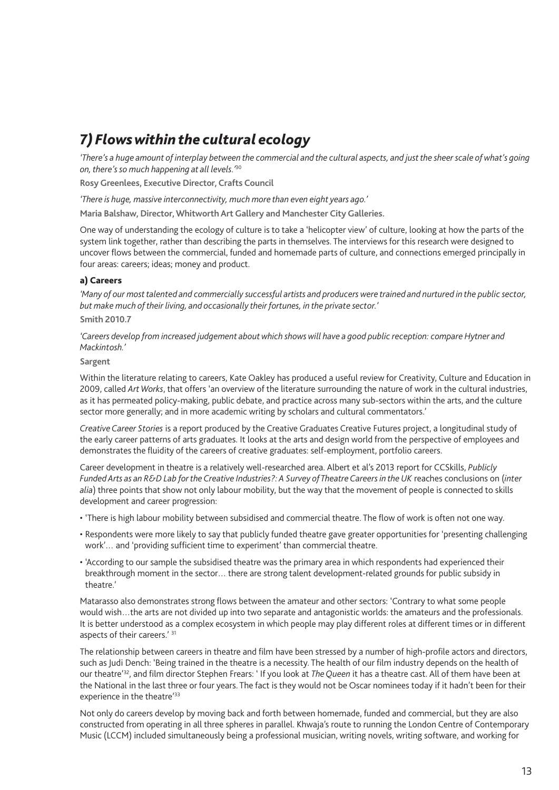### *7) Flows within the cultural ecology*

*'There's a huge amount of interplay between the commercial and the cultural aspects, and just the sheer scale of what's going on, there's so much happening at all levels.'*<sup>30</sup>

**Rosy Greenlees, Executive Director, Crafts Council**

*'There is huge, massive interconnectivity, much more than even eight years ago.'*

**Maria Balshaw, Director, Whitworth Art Gallery and Manchester City Galleries.**

One way of understanding the ecology of culture is to take a 'helicopter view' of culture, looking at how the parts of the system link together, rather than describing the parts in themselves. The interviews for this research were designed to uncover flows between the commercial, funded and homemade parts of culture, and connections emerged principally in four areas: careers; ideas; money and product.

#### a) Careers

*'Many of our most talented and commercially successful artists and producers were trained and nurtured in the public sector, but make much of their living, and occasionally their fortunes, in the private sector.'* 

#### **Smith 2010.7**

*'Careers develop from increased judgement about which shows will have a good public reception: compare Hytner and Mackintosh.'* 

#### **Sargent**

Within the literature relating to careers, Kate Oakley has produced a useful review for Creativity, Culture and Education in 2009, called *Art Works*, that offers 'an overview of the literature surrounding the nature of work in the cultural industries, as it has permeated policy-making, public debate, and practice across many sub-sectors within the arts, and the culture sector more generally; and in more academic writing by scholars and cultural commentators.'

*Creative Career Stories* is a report produced by the Creative Graduates Creative Futures project, a longitudinal study of the early career patterns of arts graduates. It looks at the arts and design world from the perspective of employees and demonstrates the fluidity of the careers of creative graduates: self-employment, portfolio careers.

Career development in theatre is a relatively well-researched area. Albert et al's 2013 report for CCSkills, *Publicly Funded Arts as an R&D Lab for the Creative Industries?: A Survey of Theatre Careers in the UK* reaches conclusions on (*inter alia*) three points that show not only labour mobility, but the way that the movement of people is connected to skills development and career progression:

- 'There is high labour mobility between subsidised and commercial theatre. The flow of work is often not one way.
- Respondents were more likely to say that publicly funded theatre gave greater opportunities for 'presenting challenging work'… and 'providing sufficient time to experiment' than commercial theatre.
- 'According to our sample the subsidised theatre was the primary area in which respondents had experienced their breakthrough moment in the sector… there are strong talent development-related grounds for public subsidy in theatre.'

Matarasso also demonstrates strong flows between the amateur and other sectors: 'Contrary to what some people would wish…the arts are not divided up into two separate and antagonistic worlds: the amateurs and the professionals. It is better understood as a complex ecosystem in which people may play different roles at different times or in different aspects of their careers.' 31

The relationship between careers in theatre and film have been stressed by a number of high-profile actors and directors, such as Judi Dench: 'Being trained in the theatre is a necessity. The health of our film industry depends on the health of our theatre'32, and film director Stephen Frears: ' If you look at *The Queen* it has a theatre cast. All of them have been at the National in the last three or four years. The fact is they would not be Oscar nominees today if it hadn't been for their experience in the theatre<sup>'33</sup>

Not only do careers develop by moving back and forth between homemade, funded and commercial, but they are also constructed from operating in all three spheres in parallel. Khwaja's route to running the London Centre of Contemporary Music (LCCM) included simultaneously being a professional musician, writing novels, writing software, and working for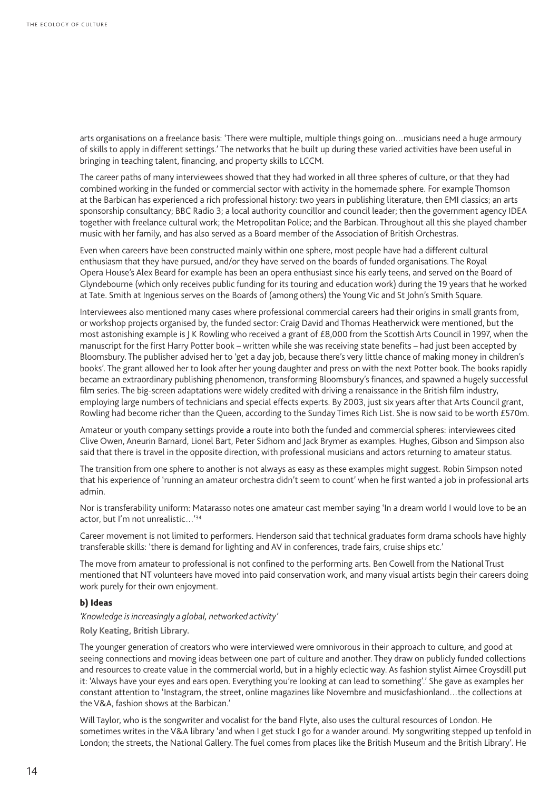arts organisations on a freelance basis: 'There were multiple, multiple things going on…musicians need a huge armoury of skills to apply in different settings.' The networks that he built up during these varied activities have been useful in bringing in teaching talent, financing, and property skills to LCCM.

The career paths of many interviewees showed that they had worked in all three spheres of culture, or that they had combined working in the funded or commercial sector with activity in the homemade sphere. For example Thomson at the Barbican has experienced a rich professional history: two years in publishing literature, then EMI classics; an arts sponsorship consultancy; BBC Radio 3; a local authority councillor and council leader; then the government agency IDEA together with freelance cultural work; the Metropolitan Police; and the Barbican. Throughout all this she played chamber music with her family, and has also served as a Board member of the Association of British Orchestras.

Even when careers have been constructed mainly within one sphere, most people have had a different cultural enthusiasm that they have pursued, and/or they have served on the boards of funded organisations. The Royal Opera House's Alex Beard for example has been an opera enthusiast since his early teens, and served on the Board of Glyndebourne (which only receives public funding for its touring and education work) during the 19 years that he worked at Tate. Smith at Ingenious serves on the Boards of (among others) the Young Vic and St John's Smith Square.

Interviewees also mentioned many cases where professional commercial careers had their origins in small grants from, or workshop projects organised by, the funded sector: Craig David and Thomas Heatherwick were mentioned, but the most astonishing example is J K Rowling who received a grant of £8,000 from the Scottish Arts Council in 1997, when the manuscript for the first Harry Potter book – written while she was receiving state benefits – had just been accepted by Bloomsbury. The publisher advised her to 'get a day job, because there's very little chance of making money in children's books'. The grant allowed her to look after her young daughter and press on with the next Potter book. The books rapidly became an extraordinary publishing phenomenon, transforming Bloomsbury's finances, and spawned a hugely successful film series. The big-screen adaptations were widely credited with driving a renaissance in the British film industry, employing large numbers of technicians and special effects experts. By 2003, just six years after that Arts Council grant, Rowling had become richer than the Queen, according to the Sunday Times Rich List. She is now said to be worth £570m.

Amateur or youth company settings provide a route into both the funded and commercial spheres: interviewees cited Clive Owen, Aneurin Barnard, Lionel Bart, Peter Sidhom and Jack Brymer as examples. Hughes, Gibson and Simpson also said that there is travel in the opposite direction, with professional musicians and actors returning to amateur status.

The transition from one sphere to another is not always as easy as these examples might suggest. Robin Simpson noted that his experience of 'running an amateur orchestra didn't seem to count' when he first wanted a job in professional arts admin.

Nor is transferability uniform: Matarasso notes one amateur cast member saying 'In a dream world I would love to be an actor, but I'm not unrealistic…'34

Career movement is not limited to performers. Henderson said that technical graduates form drama schools have highly transferable skills: 'there is demand for lighting and AV in conferences, trade fairs, cruise ships etc.'

The move from amateur to professional is not confined to the performing arts. Ben Cowell from the National Trust mentioned that NT volunteers have moved into paid conservation work, and many visual artists begin their careers doing work purely for their own enjoyment.

#### b) Ideas

*'Knowledge is increasingly a global, networked activity'*

**Roly Keating, British Library.**

The younger generation of creators who were interviewed were omnivorous in their approach to culture, and good at seeing connections and moving ideas between one part of culture and another. They draw on publicly funded collections and resources to create value in the commercial world, but in a highly eclectic way. As fashion stylist Aimee Croysdill put it: 'Always have your eyes and ears open. Everything you're looking at can lead to something'.' She gave as examples her constant attention to 'Instagram, the street, online magazines like Novembre and musicfashionland…the collections at the V&A, fashion shows at the Barbican.'

Will Taylor, who is the songwriter and vocalist for the band Flyte, also uses the cultural resources of London. He sometimes writes in the V&A library 'and when I get stuck I go for a wander around. My songwriting stepped up tenfold in London; the streets, the National Gallery. The fuel comes from places like the British Museum and the British Library'. He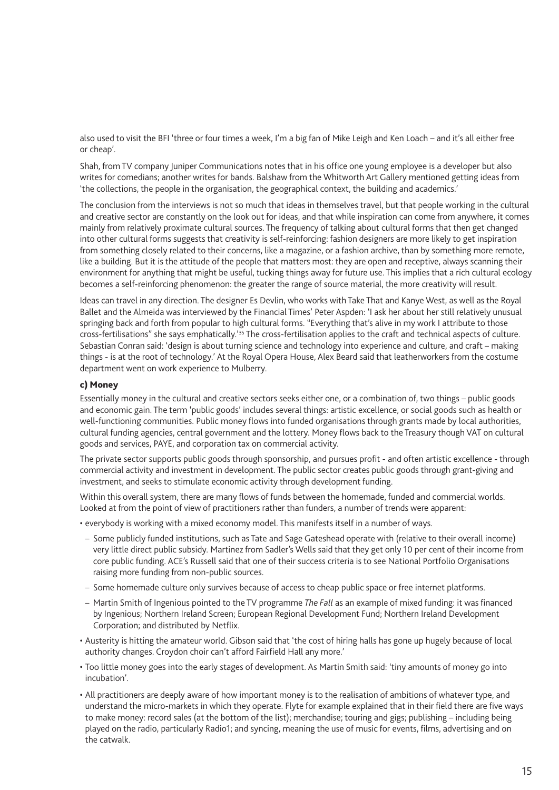also used to visit the BFI 'three or four times a week, I'm a big fan of Mike Leigh and Ken Loach – and it's all either free or cheap'.

Shah, from TV company Juniper Communications notes that in his office one young employee is a developer but also writes for comedians; another writes for bands. Balshaw from the Whitworth Art Gallery mentioned getting ideas from 'the collections, the people in the organisation, the geographical context, the building and academics.'

The conclusion from the interviews is not so much that ideas in themselves travel, but that people working in the cultural and creative sector are constantly on the look out for ideas, and that while inspiration can come from anywhere, it comes mainly from relatively proximate cultural sources. The frequency of talking about cultural forms that then get changed into other cultural forms suggests that creativity is self-reinforcing: fashion designers are more likely to get inspiration from something closely related to their concerns, like a magazine, or a fashion archive, than by something more remote, like a building. But it is the attitude of the people that matters most: they are open and receptive, always scanning their environment for anything that might be useful, tucking things away for future use. This implies that a rich cultural ecology becomes a self-reinforcing phenomenon: the greater the range of source material, the more creativity will result.

Ideas can travel in any direction. The designer Es Devlin, who works with Take That and Kanye West, as well as the Royal Ballet and the Almeida was interviewed by the Financial Times' Peter Aspden: 'I ask her about her still relatively unusual springing back and forth from popular to high cultural forms. "Everything that's alive in my work I attribute to those cross-fertilisations" she says emphatically.'35 The cross-fertilisation applies to the craft and technical aspects of culture. Sebastian Conran said: 'design is about turning science and technology into experience and culture, and craft – making things - is at the root of technology.' At the Royal Opera House, Alex Beard said that leatherworkers from the costume department went on work experience to Mulberry.

#### c) Money

Essentially money in the cultural and creative sectors seeks either one, or a combination of, two things – public goods and economic gain. The term 'public goods' includes several things: artistic excellence, or social goods such as health or well-functioning communities. Public money flows into funded organisations through grants made by local authorities, cultural funding agencies, central government and the lottery. Money flows back to the Treasury though VAT on cultural goods and services, PAYE, and corporation tax on commercial activity.

The private sector supports public goods through sponsorship, and pursues profit - and often artistic excellence - through commercial activity and investment in development. The public sector creates public goods through grant-giving and investment, and seeks to stimulate economic activity through development funding.

Within this overall system, there are many flows of funds between the homemade, funded and commercial worlds. Looked at from the point of view of practitioners rather than funders, a number of trends were apparent:

- everybody is working with a mixed economy model. This manifests itself in a number of ways.
- Some publicly funded institutions, such as Tate and Sage Gateshead operate with (relative to their overall income) very little direct public subsidy. Martinez from Sadler's Wells said that they get only 10 per cent of their income from core public funding. ACE's Russell said that one of their success criteria is to see National Portfolio Organisations raising more funding from non-public sources.
- Some homemade culture only survives because of access to cheap public space or free internet platforms.
- Martin Smith of Ingenious pointed to the TV programme *The Fall* as an example of mixed funding: it was financed by Ingenious; Northern Ireland Screen; European Regional Development Fund; Northern Ireland Development Corporation; and distributed by Netflix.
- Austerity is hitting the amateur world. Gibson said that 'the cost of hiring halls has gone up hugely because of local authority changes. Croydon choir can't afford Fairfield Hall any more.'
- Too little money goes into the early stages of development. As Martin Smith said: 'tiny amounts of money go into incubation'.
- All practitioners are deeply aware of how important money is to the realisation of ambitions of whatever type, and understand the micro-markets in which they operate. Flyte for example explained that in their field there are five ways to make money: record sales (at the bottom of the list); merchandise; touring and gigs; publishing – including being played on the radio, particularly Radio1; and syncing, meaning the use of music for events, films, advertising and on the catwalk.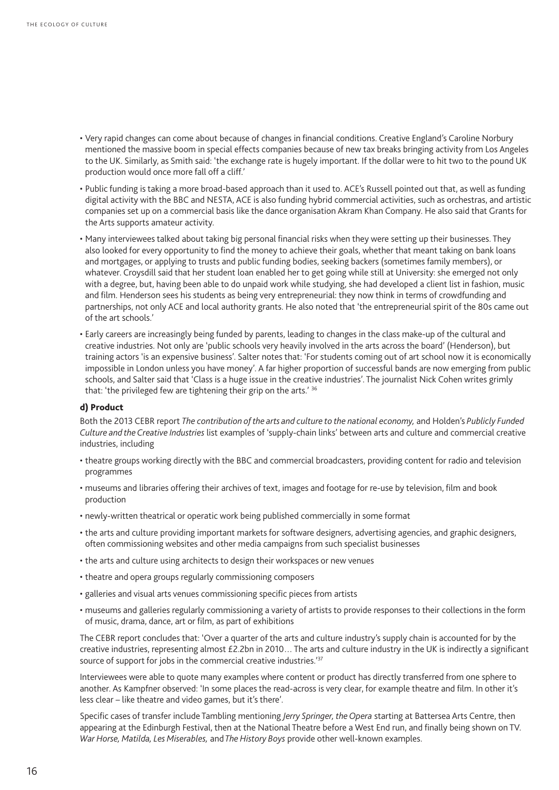- Very rapid changes can come about because of changes in financial conditions. Creative England's Caroline Norbury mentioned the massive boom in special effects companies because of new tax breaks bringing activity from Los Angeles to the UK. Similarly, as Smith said: 'the exchange rate is hugely important. If the dollar were to hit two to the pound UK production would once more fall off a cliff.'
- Public funding is taking a more broad-based approach than it used to. ACE's Russell pointed out that, as well as funding digital activity with the BBC and NESTA, ACE is also funding hybrid commercial activities, such as orchestras, and artistic companies set up on a commercial basis like the dance organisation Akram Khan Company. He also said that Grants for the Arts supports amateur activity.
- Many interviewees talked about taking big personal financial risks when they were setting up their businesses. They also looked for every opportunity to find the money to achieve their goals, whether that meant taking on bank loans and mortgages, or applying to trusts and public funding bodies, seeking backers (sometimes family members), or whatever. Croysdill said that her student loan enabled her to get going while still at University: she emerged not only with a degree, but, having been able to do unpaid work while studying, she had developed a client list in fashion, music and film. Henderson sees his students as being very entrepreneurial: they now think in terms of crowdfunding and partnerships, not only ACE and local authority grants. He also noted that 'the entrepreneurial spirit of the 80s came out of the art schools.'
- Early careers are increasingly being funded by parents, leading to changes in the class make-up of the cultural and creative industries. Not only are 'public schools very heavily involved in the arts across the board' (Henderson), but training actors 'is an expensive business'. Salter notes that: 'For students coming out of art school now it is economically impossible in London unless you have money'. A far higher proportion of successful bands are now emerging from public schools, and Salter said that 'Class is a huge issue in the creative industries'. The journalist Nick Cohen writes grimly that: 'the privileged few are tightening their grip on the arts.' 36

#### d) Product

Both the 2013 CEBR report *The contribution of the arts and culture to the national economy,* and Holden's *Publicly Funded Culture and the Creative Industries* list examples of 'supply-chain links' between arts and culture and commercial creative industries, including

- theatre groups working directly with the BBC and commercial broadcasters, providing content for radio and television programmes
- museums and libraries offering their archives of text, images and footage for re-use by television, film and book production
- newly-written theatrical or operatic work being published commercially in some format
- the arts and culture providing important markets for software designers, advertising agencies, and graphic designers, often commissioning websites and other media campaigns from such specialist businesses
- the arts and culture using architects to design their workspaces or new venues
- theatre and opera groups regularly commissioning composers
- galleries and visual arts venues commissioning specific pieces from artists
- museums and galleries regularly commissioning a variety of artists to provide responses to their collections in the form of music, drama, dance, art or film, as part of exhibitions

The CEBR report concludes that: 'Over a quarter of the arts and culture industry's supply chain is accounted for by the creative industries, representing almost £2.2bn in 2010… The arts and culture industry in the UK is indirectly a significant source of support for jobs in the commercial creative industries.<sup>'37</sup>

Interviewees were able to quote many examples where content or product has directly transferred from one sphere to another. As Kampfner observed: 'In some places the read-across is very clear, for example theatre and film. In other it's less clear – like theatre and video games, but it's there'.

Specific cases of transfer include Tambling mentioning *Jerry Springer, the Opera* starting at Battersea Arts Centre, then appearing at the Edinburgh Festival, then at the National Theatre before a West End run, and finally being shown on TV. *War Horse, Matilda, Les Miserables,* and *The History Boys* provide other well-known examples.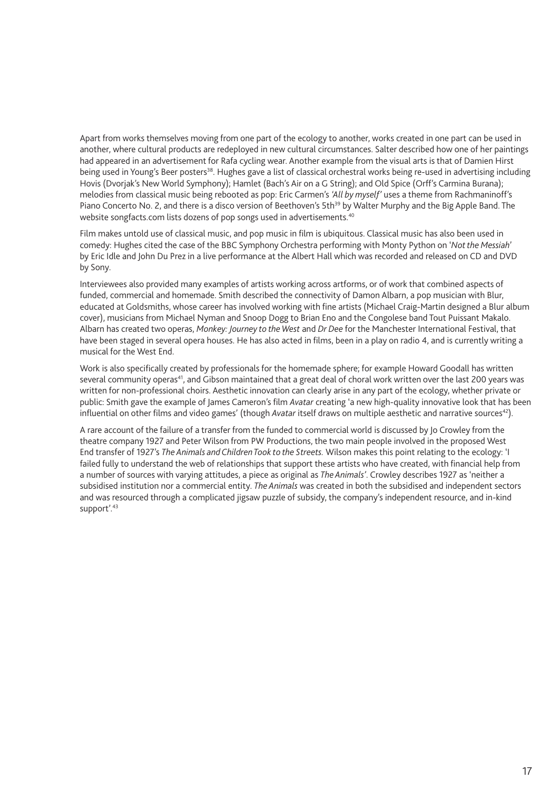Apart from works themselves moving from one part of the ecology to another, works created in one part can be used in another, where cultural products are redeployed in new cultural circumstances. Salter described how one of her paintings had appeared in an advertisement for Rafa cycling wear. Another example from the visual arts is that of Damien Hirst being used in Young's Beer posters<sup>38</sup>. Hughes gave a list of classical orchestral works being re-used in advertising including Hovis (Dvorjak's New World Symphony); Hamlet (Bach's Air on a G String); and Old Spice (Orff's Carmina Burana); melodies from classical music being rebooted as pop: Eric Carmen's *'All by myself'* uses a theme from Rachmaninoff's Piano Concerto No. 2, and there is a disco version of Beethoven's 5th<sup>39</sup> by Walter Murphy and the Big Apple Band. The website songfacts.com lists dozens of pop songs used in advertisements.<sup>40</sup>

Film makes untold use of classical music, and pop music in film is ubiquitous. Classical music has also been used in comedy: Hughes cited the case of the BBC Symphony Orchestra performing with Monty Python on '*Not the Messiah*' by Eric Idle and John Du Prez in a live performance at the Albert Hall which was recorded and released on CD and DVD by Sony.

Interviewees also provided many examples of artists working across artforms, or of work that combined aspects of funded, commercial and homemade. Smith described the connectivity of Damon Albarn, a pop musician with Blur, educated at Goldsmiths, whose career has involved working with fine artists (Michael Craig-Martin designed a Blur album cover), musicians from Michael Nyman and Snoop Dogg to Brian Eno and the Congolese band Tout Puissant Makalo. Albarn has created two operas, *Monkey: Journey to the West* and *Dr Dee* for the Manchester International Festival, that have been staged in several opera houses. He has also acted in films, been in a play on radio 4, and is currently writing a musical for the West End.

Work is also specifically created by professionals for the homemade sphere; for example Howard Goodall has written several community operas<sup>41</sup>, and Gibson maintained that a great deal of choral work written over the last 200 years was written for non-professional choirs. Aesthetic innovation can clearly arise in any part of the ecology, whether private or public: Smith gave the example of James Cameron's film *Avatar* creating 'a new high-quality innovative look that has been influential on other films and video games' (though *Avatar* itself draws on multiple aesthetic and narrative sources<sup>42</sup>).

A rare account of the failure of a transfer from the funded to commercial world is discussed by Jo Crowley from the theatre company 1927 and Peter Wilson from PW Productions, the two main people involved in the proposed West End transfer of 1927's *The Animals and Children Took to the Streets.* Wilson makes this point relating to the ecology: 'I failed fully to understand the web of relationships that support these artists who have created, with financial help from a number of sources with varying attitudes, a piece as original as *The Animals'*. Crowley describes 1927 as 'neither a subsidised institution nor a commercial entity. *The Animals* was created in both the subsidised and independent sectors and was resourced through a complicated jigsaw puzzle of subsidy, the company's independent resource, and in-kind support'.<sup>43</sup>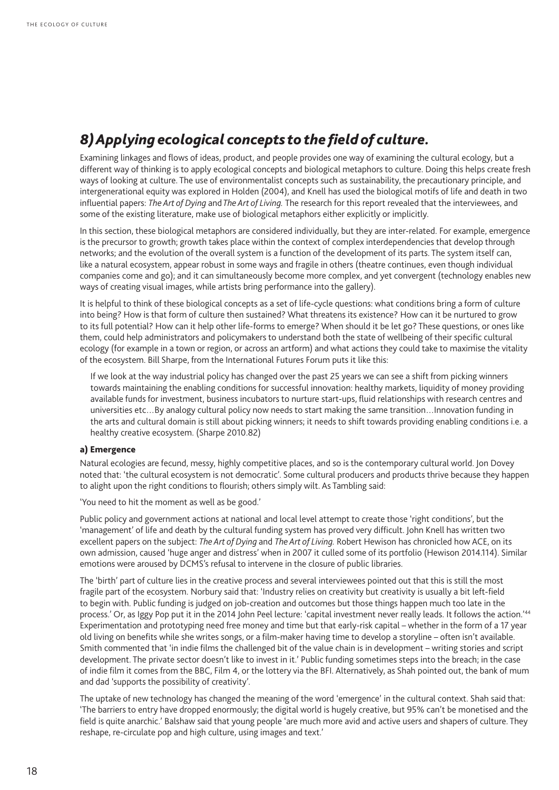# *8) Applying ecological concepts to the field of culture.*

Examining linkages and flows of ideas, product, and people provides one way of examining the cultural ecology, but a different way of thinking is to apply ecological concepts and biological metaphors to culture. Doing this helps create fresh ways of looking at culture. The use of environmentalist concepts such as sustainability, the precautionary principle, and intergenerational equity was explored in Holden (2004), and Knell has used the biological motifs of life and death in two influential papers: *The Art of Dying* and *The Art of Living.* The research for this report revealed that the interviewees, and some of the existing literature, make use of biological metaphors either explicitly or implicitly.

In this section, these biological metaphors are considered individually, but they are inter-related. For example, emergence is the precursor to growth; growth takes place within the context of complex interdependencies that develop through networks; and the evolution of the overall system is a function of the development of its parts. The system itself can, like a natural ecosystem, appear robust in some ways and fragile in others (theatre continues, even though individual companies come and go); and it can simultaneously become more complex, and yet convergent (technology enables new ways of creating visual images, while artists bring performance into the gallery).

It is helpful to think of these biological concepts as a set of life-cycle questions: what conditions bring a form of culture into being? How is that form of culture then sustained? What threatens its existence? How can it be nurtured to grow to its full potential? How can it help other life-forms to emerge? When should it be let go? These questions, or ones like them, could help administrators and policymakers to understand both the state of wellbeing of their specific cultural ecology (for example in a town or region, or across an artform) and what actions they could take to maximise the vitality of the ecosystem. Bill Sharpe, from the International Futures Forum puts it like this:

If we look at the way industrial policy has changed over the past 25 years we can see a shift from picking winners towards maintaining the enabling conditions for successful innovation: healthy markets, liquidity of money providing available funds for investment, business incubators to nurture start-ups, fluid relationships with research centres and universities etc…By analogy cultural policy now needs to start making the same transition…Innovation funding in the arts and cultural domain is still about picking winners; it needs to shift towards providing enabling conditions i.e. a healthy creative ecosystem. (Sharpe 2010.82)

#### a) Emergence

Natural ecologies are fecund, messy, highly competitive places, and so is the contemporary cultural world. Jon Dovey noted that: 'the cultural ecosystem is not democratic'. Some cultural producers and products thrive because they happen to alight upon the right conditions to flourish; others simply wilt. As Tambling said:

'You need to hit the moment as well as be good.'

Public policy and government actions at national and local level attempt to create those 'right conditions', but the 'management' of life and death by the cultural funding system has proved very difficult. John Knell has written two excellent papers on the subject: *The Art of Dying* and *The Art of Living.* Robert Hewison has chronicled how ACE, on its own admission, caused 'huge anger and distress' when in 2007 it culled some of its portfolio (Hewison 2014.114). Similar emotions were aroused by DCMS's refusal to intervene in the closure of public libraries.

The 'birth' part of culture lies in the creative process and several interviewees pointed out that this is still the most fragile part of the ecosystem. Norbury said that: 'Industry relies on creativity but creativity is usually a bit left-field to begin with. Public funding is judged on job-creation and outcomes but those things happen much too late in the process.' Or, as Iggy Pop put it in the 2014 John Peel lecture: 'capital investment never really leads. It follows the action.'44 Experimentation and prototyping need free money and time but that early-risk capital – whether in the form of a 17 year old living on benefits while she writes songs, or a film-maker having time to develop a storyline – often isn't available. Smith commented that 'in indie films the challenged bit of the value chain is in development – writing stories and script development. The private sector doesn't like to invest in it.' Public funding sometimes steps into the breach; in the case of indie film it comes from the BBC, Film 4, or the lottery via the BFI. Alternatively, as Shah pointed out, the bank of mum and dad 'supports the possibility of creativity'.

The uptake of new technology has changed the meaning of the word 'emergence' in the cultural context. Shah said that: 'The barriers to entry have dropped enormously; the digital world is hugely creative, but 95% can't be monetised and the field is quite anarchic.' Balshaw said that young people 'are much more avid and active users and shapers of culture. They reshape, re-circulate pop and high culture, using images and text.'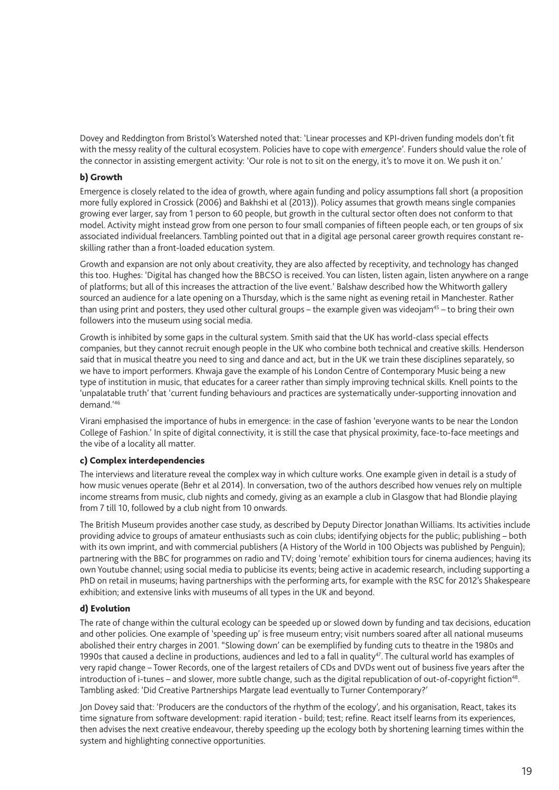Dovey and Reddington from Bristol's Watershed noted that: 'Linear processes and KPI-driven funding models don't fit with the messy reality of the cultural ecosystem. Policies have to cope with *emergence*'. Funders should value the role of the connector in assisting emergent activity: 'Our role is not to sit on the energy, it's to move it on. We push it on.'

#### b) Growth

Emergence is closely related to the idea of growth, where again funding and policy assumptions fall short (a proposition more fully explored in Crossick (2006) and Bakhshi et al (2013)). Policy assumes that growth means single companies growing ever larger, say from 1 person to 60 people, but growth in the cultural sector often does not conform to that model. Activity might instead grow from one person to four small companies of fifteen people each, or ten groups of six associated individual freelancers. Tambling pointed out that in a digital age personal career growth requires constant reskilling rather than a front-loaded education system.

Growth and expansion are not only about creativity, they are also affected by receptivity, and technology has changed this too. Hughes: 'Digital has changed how the BBCSO is received. You can listen, listen again, listen anywhere on a range of platforms; but all of this increases the attraction of the live event.' Balshaw described how the Whitworth gallery sourced an audience for a late opening on a Thursday, which is the same night as evening retail in Manchester. Rather than using print and posters, they used other cultural groups – the example given was videojam<sup>45</sup> – to bring their own followers into the museum using social media.

Growth is inhibited by some gaps in the cultural system. Smith said that the UK has world-class special effects companies, but they cannot recruit enough people in the UK who combine both technical and creative skills. Henderson said that in musical theatre you need to sing and dance and act, but in the UK we train these disciplines separately, so we have to import performers. Khwaja gave the example of his London Centre of Contemporary Music being a new type of institution in music, that educates for a career rather than simply improving technical skills. Knell points to the 'unpalatable truth' that 'current funding behaviours and practices are systematically under-supporting innovation and demand.'46

Virani emphasised the importance of hubs in emergence: in the case of fashion 'everyone wants to be near the London College of Fashion.' In spite of digital connectivity, it is still the case that physical proximity, face-to-face meetings and the vibe of a locality all matter.

#### c) Complex interdependencies

The interviews and literature reveal the complex way in which culture works. One example given in detail is a study of how music venues operate (Behr et al 2014). In conversation, two of the authors described how venues rely on multiple income streams from music, club nights and comedy, giving as an example a club in Glasgow that had Blondie playing from 7 till 10, followed by a club night from 10 onwards.

The British Museum provides another case study, as described by Deputy Director Jonathan Williams. Its activities include providing advice to groups of amateur enthusiasts such as coin clubs; identifying objects for the public; publishing – both with its own imprint, and with commercial publishers (A History of the World in 100 Objects was published by Penguin); partnering with the BBC for programmes on radio and TV; doing 'remote' exhibition tours for cinema audiences; having its own Youtube channel; using social media to publicise its events; being active in academic research, including supporting a PhD on retail in museums; having partnerships with the performing arts, for example with the RSC for 2012's Shakespeare exhibition; and extensive links with museums of all types in the UK and beyond.

#### d) Evolution

The rate of change within the cultural ecology can be speeded up or slowed down by funding and tax decisions, education and other policies. One example of 'speeding up' is free museum entry; visit numbers soared after all national museums abolished their entry charges in 2001. "Slowing down' can be exemplified by funding cuts to theatre in the 1980s and 1990s that caused a decline in productions, audiences and led to a fall in quality<sup>47</sup>. The cultural world has examples of very rapid change – Tower Records, one of the largest retailers of CDs and DVDs went out of business five years after the introduction of i-tunes – and slower, more subtle change, such as the digital republication of out-of-copyright fiction<sup>48</sup>. Tambling asked: 'Did Creative Partnerships Margate lead eventually to Turner Contemporary?'

Jon Dovey said that: 'Producers are the conductors of the rhythm of the ecology', and his organisation, React, takes its time signature from software development: rapid iteration - build; test; refine. React itself learns from its experiences, then advises the next creative endeavour, thereby speeding up the ecology both by shortening learning times within the system and highlighting connective opportunities.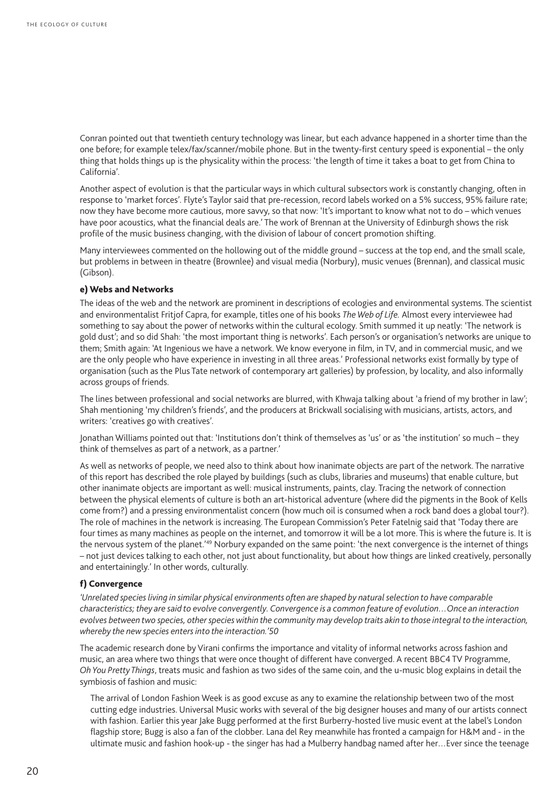Conran pointed out that twentieth century technology was linear, but each advance happened in a shorter time than the one before; for example telex/fax/scanner/mobile phone. But in the twenty-first century speed is exponential – the only thing that holds things up is the physicality within the process: 'the length of time it takes a boat to get from China to California'.

Another aspect of evolution is that the particular ways in which cultural subsectors work is constantly changing, often in response to 'market forces'. Flyte's Taylor said that pre-recession, record labels worked on a 5% success, 95% failure rate; now they have become more cautious, more savvy, so that now: 'It's important to know what not to do – which venues have poor acoustics, what the financial deals are.' The work of Brennan at the University of Edinburgh shows the risk profile of the music business changing, with the division of labour of concert promotion shifting.

Many interviewees commented on the hollowing out of the middle ground – success at the top end, and the small scale, but problems in between in theatre (Brownlee) and visual media (Norbury), music venues (Brennan), and classical music (Gibson).

#### e) Webs and Networks

The ideas of the web and the network are prominent in descriptions of ecologies and environmental systems. The scientist and environmentalist Fritjof Capra, for example, titles one of his books *The Web of Life.* Almost every interviewee had something to say about the power of networks within the cultural ecology. Smith summed it up neatly: 'The network is gold dust'; and so did Shah: 'the most important thing is networks'. Each person's or organisation's networks are unique to them; Smith again: 'At Ingenious we have a network. We know everyone in film, in TV, and in commercial music, and we are the only people who have experience in investing in all three areas.' Professional networks exist formally by type of organisation (such as the Plus Tate network of contemporary art galleries) by profession, by locality, and also informally across groups of friends.

The lines between professional and social networks are blurred, with Khwaja talking about 'a friend of my brother in law'; Shah mentioning 'my children's friends', and the producers at Brickwall socialising with musicians, artists, actors, and writers: 'creatives go with creatives'.

Jonathan Williams pointed out that: 'Institutions don't think of themselves as 'us' or as 'the institution' so much – they think of themselves as part of a network, as a partner.'

As well as networks of people, we need also to think about how inanimate objects are part of the network. The narrative of this report has described the role played by buildings (such as clubs, libraries and museums) that enable culture, but other inanimate objects are important as well: musical instruments, paints, clay. Tracing the network of connection between the physical elements of culture is both an art-historical adventure (where did the pigments in the Book of Kells come from?) and a pressing environmentalist concern (how much oil is consumed when a rock band does a global tour?). The role of machines in the network is increasing. The European Commission's Peter Fatelnig said that 'Today there are four times as many machines as people on the internet, and tomorrow it will be a lot more. This is where the future is. It is the nervous system of the planet.'49 Norbury expanded on the same point: 'the next convergence is the internet of things – not just devices talking to each other, not just about functionality, but about how things are linked creatively, personally and entertainingly.' In other words, culturally.

#### f) Convergence

'Unrelated species living in similar physical environments often are shaped by natural selection to have comparable *characteristics; they are said to evolve convergently. Convergence is a common feature of evolution…Once an interaction evolves between two species, other species within the community may develop traits akin to those integral to the interaction, whereby the new species enters into the interaction.'50*

The academic research done by Virani confirms the importance and vitality of informal networks across fashion and music, an area where two things that were once thought of different have converged. A recent BBC4 TV Programme, *Oh You Pretty Things*, treats music and fashion as two sides of the same coin, and the u-music blog explains in detail the symbiosis of fashion and music:

The arrival of [London Fashion Week](http://www.londonfashionweek.co.uk/) is as good excuse as any to examine the relationship between two of the most cutting edge industries. Universal Music works with several of the big designer houses and many of our artists connect with fashion. Earlier this year [Jake Bugg](http://jakebugg.com/) performed at the first [Burberry-](http://uk.burberry.com/store/)hosted live music event at the label's London flagship store; Bugg is also a fan of the clobber. [Lana del Rey](http://www.lanadelrey.com/) meanwhile has fronted a campaign for H&M and - in the ultimate music and fashion hook-up - the singer has had a [Mulberry handbag](http://www.mulberry.com/shop/womens-bags/totes/del-rey-black-glossy-goat-with-soft-gold) named after her…Ever since the teenage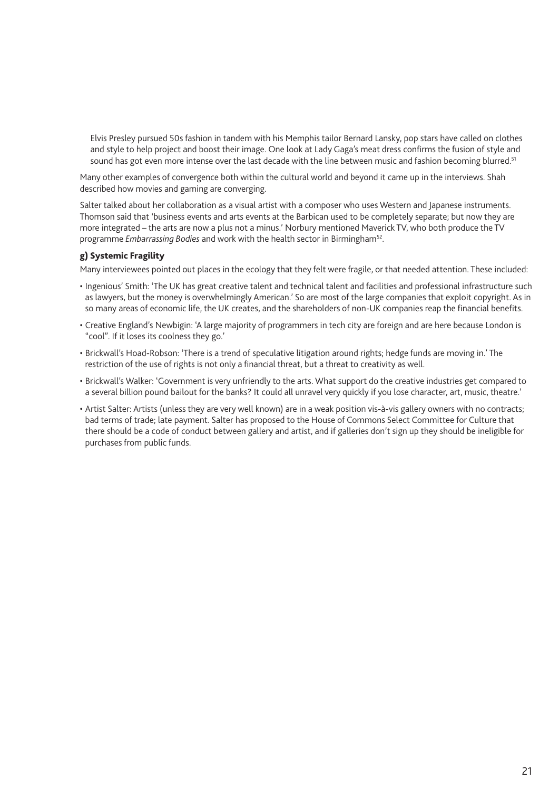Elvis Presley pursued 50s fashion in tandem with his Memphis tailor Bernard Lansky, pop stars have called on clothes and style to help project and boost their image. One look at [Lady Gaga](http://ladygaga.co.uk/)'s meat dress confirms the fusion of style and sound has got even more intense over the last decade with the line between music and fashion becoming blurred.<sup>51</sup>

Many other examples of convergence both within the cultural world and beyond it came up in the interviews. Shah described how movies and gaming are converging.

Salter talked about her collaboration as a visual artist with a composer who uses Western and Japanese instruments. Thomson said that 'business events and arts events at the Barbican used to be completely separate; but now they are more integrated – the arts are now a plus not a minus.' Norbury mentioned Maverick TV, who both produce the TV programme *Embarrassing Bodies* and work with the health sector in Birmingham<sup>52</sup>.

#### g) Systemic Fragility

Many interviewees pointed out places in the ecology that they felt were fragile, or that needed attention. These included:

- Ingenious' Smith: 'The UK has great creative talent and technical talent and facilities and professional infrastructure such as lawyers, but the money is overwhelmingly American.' So are most of the large companies that exploit copyright. As in so many areas of economic life, the UK creates, and the shareholders of non-UK companies reap the financial benefits.
- Creative England's Newbigin: 'A large majority of programmers in tech city are foreign and are here because London is "cool". If it loses its coolness they go.'
- Brickwall's Hoad-Robson: 'There is a trend of speculative litigation around rights; hedge funds are moving in.' The restriction of the use of rights is not only a financial threat, but a threat to creativity as well.
- Brickwall's Walker: 'Government is very unfriendly to the arts. What support do the creative industries get compared to a several billion pound bailout for the banks? It could all unravel very quickly if you lose character, art, music, theatre.'
- Artist Salter: Artists (unless they are very well known) are in a weak position vis-à-vis gallery owners with no contracts; bad terms of trade; late payment. Salter has proposed to the House of Commons Select Committee for Culture that there should be a code of conduct between gallery and artist, and if galleries don't sign up they should be ineligible for purchases from public funds.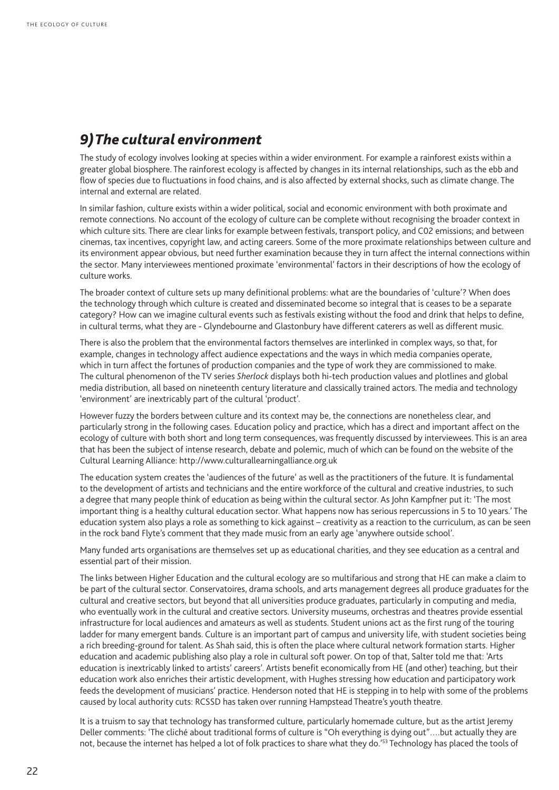### *9) The cultural environment*

The study of ecology involves looking at species within a wider environment. For example a rainforest exists within a greater global biosphere. The rainforest ecology is affected by changes in its internal relationships, such as the ebb and flow of species due to fluctuations in food chains, and is also affected by external shocks, such as climate change. The internal and external are related.

In similar fashion, culture exists within a wider political, social and economic environment with both proximate and remote connections. No account of the ecology of culture can be complete without recognising the broader context in which culture sits. There are clear links for example between festivals, transport policy, and C02 emissions; and between cinemas, tax incentives, copyright law, and acting careers. Some of the more proximate relationships between culture and its environment appear obvious, but need further examination because they in turn affect the internal connections within the sector. Many interviewees mentioned proximate 'environmental' factors in their descriptions of how the ecology of culture works.

The broader context of culture sets up many definitional problems: what are the boundaries of 'culture'? When does the technology through which culture is created and disseminated become so integral that is ceases to be a separate category? How can we imagine cultural events such as festivals existing without the food and drink that helps to define, in cultural terms, what they are - Glyndebourne and Glastonbury have different caterers as well as different music.

There is also the problem that the environmental factors themselves are interlinked in complex ways, so that, for example, changes in technology affect audience expectations and the ways in which media companies operate, which in turn affect the fortunes of production companies and the type of work they are commissioned to make. The cultural phenomenon of the TV series *Sherlock* displays both hi-tech production values and plotlines and global media distribution, all based on nineteenth century literature and classically trained actors. The media and technology 'environment' are inextricably part of the cultural 'product'.

However fuzzy the borders between culture and its context may be, the connections are nonetheless clear, and particularly strong in the following cases. Education policy and practice, which has a direct and important affect on the ecology of culture with both short and long term consequences, was frequently discussed by interviewees. This is an area that has been the subject of intense research, debate and polemic, much of which can be found on the website of the Cultural Learning Alliance:<http://www.culturallearningalliance.org.uk>

The education system creates the 'audiences of the future' as well as the practitioners of the future. It is fundamental to the development of artists and technicians and the entire workforce of the cultural and creative industries, to such a degree that many people think of education as being within the cultural sector. As John Kampfner put it: 'The most important thing is a healthy cultural education sector. What happens now has serious repercussions in 5 to 10 years.' The education system also plays a role as something to kick against – creativity as a reaction to the curriculum, as can be seen in the rock band Flyte's comment that they made music from an early age 'anywhere outside school'.

Many funded arts organisations are themselves set up as educational charities, and they see education as a central and essential part of their mission.

The links between Higher Education and the cultural ecology are so multifarious and strong that HE can make a claim to be part of the cultural sector. Conservatoires, drama schools, and arts management degrees all produce graduates for the cultural and creative sectors, but beyond that all universities produce graduates, particularly in computing and media, who eventually work in the cultural and creative sectors. University museums, orchestras and theatres provide essential infrastructure for local audiences and amateurs as well as students. Student unions act as the first rung of the touring ladder for many emergent bands. Culture is an important part of campus and university life, with student societies being a rich breeding-ground for talent. As Shah said, this is often the place where cultural network formation starts. Higher education and academic publishing also play a role in cultural soft power. On top of that, Salter told me that: 'Arts education is inextricably linked to artists' careers'. Artists benefit economically from HE (and other) teaching, but their education work also enriches their artistic development, with Hughes stressing how education and participatory work feeds the development of musicians' practice. Henderson noted that HE is stepping in to help with some of the problems caused by local authority cuts: RCSSD has taken over running Hampstead Theatre's youth theatre.

It is a truism to say that technology has transformed culture, particularly homemade culture, but as the artist Jeremy Deller comments: 'The cliché about traditional forms of culture is "Oh everything is dying out"….but actually they are not, because the internet has helped a lot of folk practices to share what they do.'<sup>53</sup> Technology has placed the tools of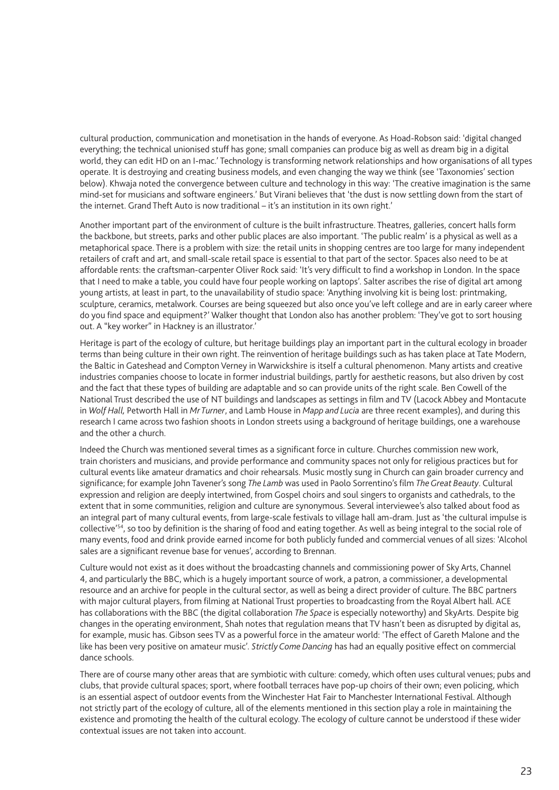cultural production, communication and monetisation in the hands of everyone. As Hoad-Robson said: 'digital changed everything; the technical unionised stuff has gone; small companies can produce big as well as dream big in a digital world, they can edit HD on an I-mac.' Technology is transforming network relationships and how organisations of all types operate. It is destroying and creating business models, and even changing the way we think (see 'Taxonomies' section below). Khwaja noted the convergence between culture and technology in this way: 'The creative imagination is the same mind-set for musicians and software engineers.' But Virani believes that 'the dust is now settling down from the start of the internet. Grand Theft Auto is now traditional – it's an institution in its own right.'

Another important part of the environment of culture is the built infrastructure. Theatres, galleries, concert halls form the backbone, but streets, parks and other public places are also important. 'The public realm' is a physical as well as a metaphorical space. There is a problem with size: the retail units in shopping centres are too large for many independent retailers of craft and art, and small-scale retail space is essential to that part of the sector. Spaces also need to be at affordable rents: the craftsman-carpenter Oliver Rock said: 'It's very difficult to find a workshop in London. In the space that I need to make a table, you could have four people working on laptops'. Salter ascribes the rise of digital art among young artists, at least in part, to the unavailability of studio space: 'Anything involving kit is being lost: printmaking, sculpture, ceramics, metalwork. Courses are being squeezed but also once you've left college and are in early career where do you find space and equipment?' Walker thought that London also has another problem: 'They've got to sort housing out. A "key worker" in Hackney is an illustrator.'

Heritage is part of the ecology of culture, but heritage buildings play an important part in the cultural ecology in broader terms than being culture in their own right. The reinvention of heritage buildings such as has taken place at Tate Modern, the Baltic in Gateshead and Compton Verney in Warwickshire is itself a cultural phenomenon. Many artists and creative industries companies choose to locate in former industrial buildings, partly for aesthetic reasons, but also driven by cost and the fact that these types of building are adaptable and so can provide units of the right scale. Ben Cowell of the National Trust described the use of NT buildings and landscapes as settings in film and TV (Lacock Abbey and Montacute in *Wolf Hall,* Petworth Hall in *Mr Turner*, and Lamb House in *Mapp and Lucia* are three recent examples), and during this research I came across two fashion shoots in London streets using a background of heritage buildings, one a warehouse and the other a church.

Indeed the Church was mentioned several times as a significant force in culture. Churches commission new work, train choristers and musicians, and provide performance and community spaces not only for religious practices but for cultural events like amateur dramatics and choir rehearsals. Music mostly sung in Church can gain broader currency and significance; for example John Tavener's song *The Lamb* was used in Paolo Sorrentino's film *The Great Beauty*. Cultural expression and religion are deeply intertwined, from Gospel choirs and soul singers to organists and cathedrals, to the extent that in some communities, religion and culture are synonymous. Several interviewee's also talked about food as an integral part of many cultural events, from large-scale festivals to village hall am-dram. Just as 'the cultural impulse is collective'54, so too by definition is the sharing of food and eating together. As well as being integral to the social role of many events, food and drink provide earned income for both publicly funded and commercial venues of all sizes: 'Alcohol sales are a significant revenue base for venues', according to Brennan.

Culture would not exist as it does without the broadcasting channels and commissioning power of Sky Arts, Channel 4, and particularly the BBC, which is a hugely important source of work, a patron, a commissioner, a developmental resource and an archive for people in the cultural sector, as well as being a direct provider of culture. The BBC partners with major cultural players, from filming at National Trust properties to broadcasting from the Royal Albert hall. ACE has collaborations with the BBC (the digital collaboration *The Space* is especially noteworthy) and SkyArts. Despite big changes in the operating environment, Shah notes that regulation means that TV hasn't been as disrupted by digital as, for example, music has. Gibson sees TV as a powerful force in the amateur world: 'The effect of Gareth Malone and the like has been very positive on amateur music'. *Strictly Come Dancing* has had an equally positive effect on commercial dance schools.

There are of course many other areas that are symbiotic with culture: comedy, which often uses cultural venues; pubs and clubs, that provide cultural spaces; sport, where football terraces have pop-up choirs of their own; even policing, which is an essential aspect of outdoor events from the Winchester Hat Fair to Manchester International Festival. Although not strictly part of the ecology of culture, all of the elements mentioned in this section play a role in maintaining the existence and promoting the health of the cultural ecology. The ecology of culture cannot be understood if these wider contextual issues are not taken into account.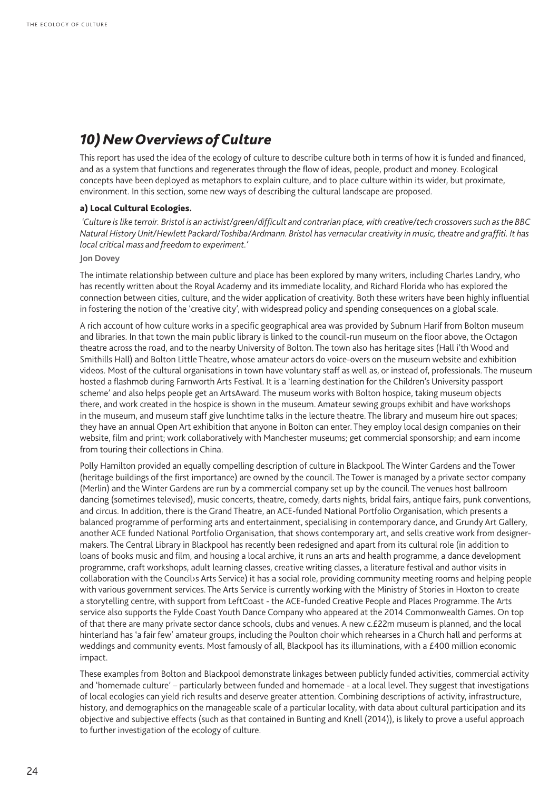### *10) New Overviews of Culture*

This report has used the idea of the ecology of culture to describe culture both in terms of how it is funded and financed, and as a system that functions and regenerates through the flow of ideas, people, product and money. Ecological concepts have been deployed as metaphors to explain culture, and to place culture within its wider, but proximate, environment. In this section, some new ways of describing the cultural landscape are proposed.

#### a) Local Cultural Ecologies.

 *'Culture is like terroir. Bristol is an activist/green/difficult and contrarian place, with creative/tech crossovers such as the BBC Natural History Unit/Hewlett Packard/Toshiba/Ardmann. Bristol has vernacular creativity in music, theatre and graffiti. It has local critical mass and freedom to experiment.'* 

#### **Jon Dovey**

The intimate relationship between culture and place has been explored by many writers, including Charles Landry, who has recently written about the Royal Academy and its immediate locality, and Richard Florida who has explored the connection between cities, culture, and the wider application of creativity. Both these writers have been highly influential in fostering the notion of the 'creative city', with widespread policy and spending consequences on a global scale.

A rich account of how culture works in a specific geographical area was provided by Subnum Harif from Bolton museum and libraries. In that town the main public library is linked to the council-run museum on the floor above, the Octagon theatre across the road, and to the nearby University of Bolton. The town also has heritage sites (Hall i'th Wood and Smithills Hall) and Bolton Little Theatre, whose amateur actors do voice-overs on the museum website and exhibition videos. Most of the cultural organisations in town have voluntary staff as well as, or instead of, professionals. The museum hosted a flashmob during Farnworth Arts Festival. It is a 'learning destination for the Children's University passport scheme' and also helps people get an ArtsAward. The museum works with Bolton hospice, taking museum objects there, and work created in the hospice is shown in the museum. Amateur sewing groups exhibit and have workshops in the museum, and museum staff give lunchtime talks in the lecture theatre. The library and museum hire out spaces; they have an annual Open Art exhibition that anyone in Bolton can enter. They employ local design companies on their website, film and print; work collaboratively with Manchester museums; get commercial sponsorship; and earn income from touring their collections in China.

Polly Hamilton provided an equally compelling description of culture in Blackpool. The Winter Gardens and the Tower (heritage buildings of the first importance) are owned by the council. The Tower is managed by a private sector company (Merlin) and the Winter Gardens are run by a commercial company set up by the council. The venues host ballroom dancing (sometimes televised), music concerts, theatre, comedy, darts nights, bridal fairs, antique fairs, punk conventions, and circus. In addition, there is the Grand Theatre, an ACE-funded National Portfolio Organisation, which presents a balanced programme of performing arts and entertainment, specialising in contemporary dance, and Grundy Art Gallery, another ACE funded National Portfolio Organisation, that shows contemporary art, and sells creative work from designermakers. The Central Library in Blackpool has recently been redesigned and apart from its cultural role (in addition to loans of books music and film, and housing a local archive, it runs an arts and health programme, a dance development programme, craft workshops, adult learning classes, creative writing classes, a literature festival and author visits in collaboration with the Council›s Arts Service) it has a social role, providing community meeting rooms and helping people with various government services. The Arts Service is currently working with the Ministry of Stories in Hoxton to create a storytelling centre, with support from LeftCoast - the ACE-funded Creative People and Places Programme. The Arts service also supports the Fylde Coast Youth Dance Company who appeared at the 2014 Commonwealth Games. On top of that there are many private sector dance schools, clubs and venues. A new c.£22m museum is planned, and the local hinterland has 'a fair few' amateur groups, including the Poulton choir which rehearses in a Church hall and performs at weddings and community events. Most famously of all, Blackpool has its illuminations, with a £400 million economic impact.

These examples from Bolton and Blackpool demonstrate linkages between publicly funded activities, commercial activity and 'homemade culture' – particularly between funded and homemade - at a local level. They suggest that investigations of local ecologies can yield rich results and deserve greater attention. Combining descriptions of activity, infrastructure, history, and demographics on the manageable scale of a particular locality, with data about cultural participation and its objective and subjective effects (such as that contained in Bunting and Knell (2014)), is likely to prove a useful approach to further investigation of the ecology of culture.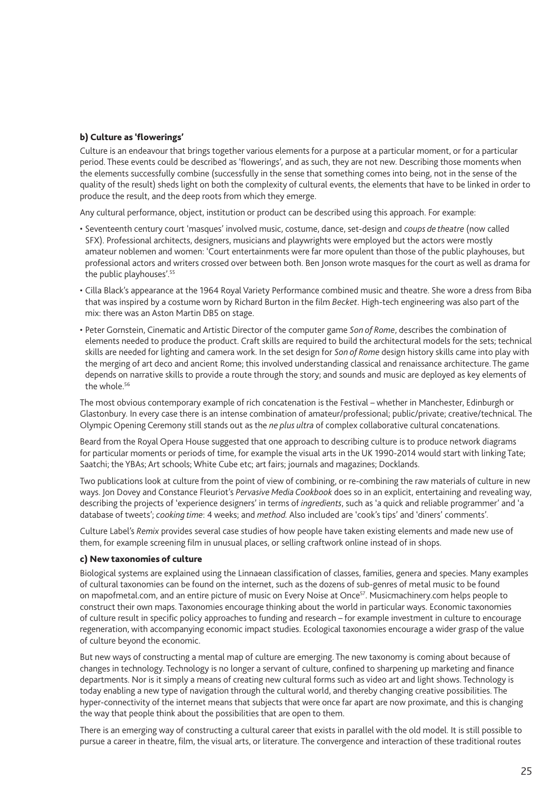#### b) Culture as 'flowerings'

Culture is an endeavour that brings together various elements for a purpose at a particular moment, or for a particular period. These events could be described as 'flowerings', and as such, they are not new. Describing those moments when the elements successfully combine (successfully in the sense that something comes into being, not in the sense of the quality of the result) sheds light on both the complexity of cultural events, the elements that have to be linked in order to produce the result, and the deep roots from which they emerge.

Any cultural performance, object, institution or product can be described using this approach. For example:

- Seventeenth century court 'masques' involved music, costume, dance, set-design and *coups de theatre* (now called SFX). Professional architects, designers, musicians and playwrights were employed but the actors were mostly amateur noblemen and women: 'Court entertainments were far more opulent than those of the public playhouses, but professional actors and writers crossed over between both. Ben Jonson wrote masques for the court as well as drama for the public playhouses'.55
- Cilla Black's appearance at the 1964 Royal Variety Performance combined music and theatre. She wore a dress from Biba that was inspired by a costume worn by Richard Burton in the film *Becket*. High-tech engineering was also part of the mix: there was an Aston Martin DB5 on stage.
- Peter Gornstein, Cinematic and Artistic Director of the computer game *Son of Rome*, describes the combination of elements needed to produce the product. Craft skills are required to build the architectural models for the sets; technical skills are needed for lighting and camera work. In the set design for *Son of Rome* design history skills came into play with the merging of art deco and ancient Rome; this involved understanding classical and renaissance architecture. The game depends on narrative skills to provide a route through the story; and sounds and music are deployed as key elements of the whole.<sup>56</sup>

The most obvious contemporary example of rich concatenation is the Festival – whether in Manchester, Edinburgh or Glastonbury. In every case there is an intense combination of amateur/professional; public/private; creative/technical. The Olympic Opening Ceremony still stands out as the *ne plus ultra* of complex collaborative cultural concatenations.

Beard from the Royal Opera House suggested that one approach to describing culture is to produce network diagrams for particular moments or periods of time, for example the visual arts in the UK 1990-2014 would start with linking Tate; Saatchi; the YBAs; Art schools; White Cube etc; art fairs; journals and magazines; Docklands.

Two publications look at culture from the point of view of combining, or re-combining the raw materials of culture in new ways. Jon Dovey and Constance Fleuriot's *Pervasive Media Cookbook* does so in an explicit, entertaining and revealing way, describing the projects of 'experience designers' in terms of *ingredients*, such as 'a quick and reliable programmer' and 'a database of tweets'; *cooking time*: 4 weeks; and *method.* Also included are 'cook's tips' and 'diners' comments'.

Culture Label's *Remix* provides several case studies of how people have taken existing elements and made new use of them, for example screening film in unusual places, or selling craftwork online instead of in shops.

#### c) New taxonomies of culture

Biological systems are explained using the Linnaean classification of classes, families, genera and species. Many examples of cultural taxonomies can be found on the internet, such as the dozens of sub-genres of metal music to be found on mapofmetal.com, and an entire picture of music on Every Noise at Once<sup>57</sup>. Musicmachinery.com helps people to construct their own maps. Taxonomies encourage thinking about the world in particular ways. Economic taxonomies of culture result in specific policy approaches to funding and research – for example investment in culture to encourage regeneration, with accompanying economic impact studies. Ecological taxonomies encourage a wider grasp of the value of culture beyond the economic.

But new ways of constructing a mental map of culture are emerging. The new taxonomy is coming about because of changes in technology. Technology is no longer a servant of culture, confined to sharpening up marketing and finance departments. Nor is it simply a means of creating new cultural forms such as video art and light shows. Technology is today enabling a new type of navigation through the cultural world, and thereby changing creative possibilities. The hyper-connectivity of the internet means that subjects that were once far apart are now proximate, and this is changing the way that people think about the possibilities that are open to them.

There is an emerging way of constructing a cultural career that exists in parallel with the old model. It is still possible to pursue a career in theatre, film, the visual arts, or literature. The convergence and interaction of these traditional routes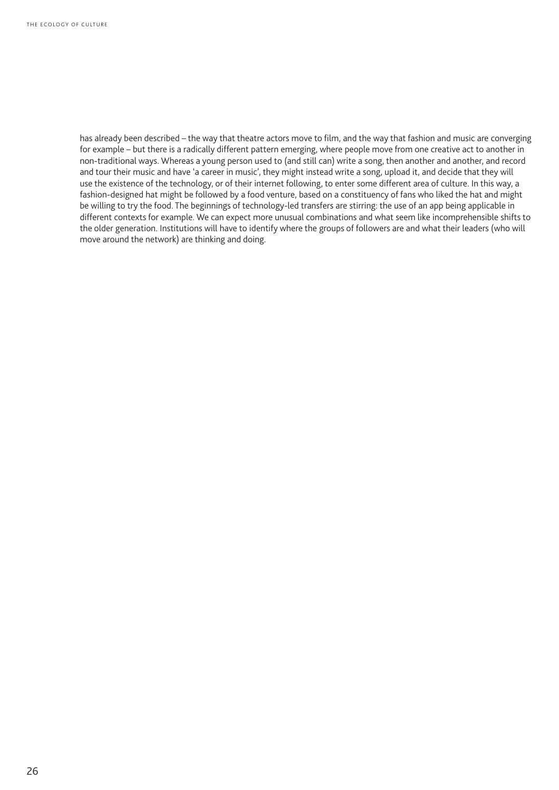has already been described – the way that theatre actors move to film, and the way that fashion and music are converging for example – but there is a radically different pattern emerging, where people move from one creative act to another in non-traditional ways. Whereas a young person used to (and still can) write a song, then another and another, and record and tour their music and have 'a career in music', they might instead write a song, upload it, and decide that they will use the existence of the technology, or of their internet following, to enter some different area of culture. In this way, a fashion-designed hat might be followed by a food venture, based on a constituency of fans who liked the hat and might be willing to try the food. The beginnings of technology-led transfers are stirring: the use of an app being applicable in different contexts for example. We can expect more unusual combinations and what seem like incomprehensible shifts to the older generation. Institutions will have to identify where the groups of followers are and what their leaders (who will move around the network) are thinking and doing.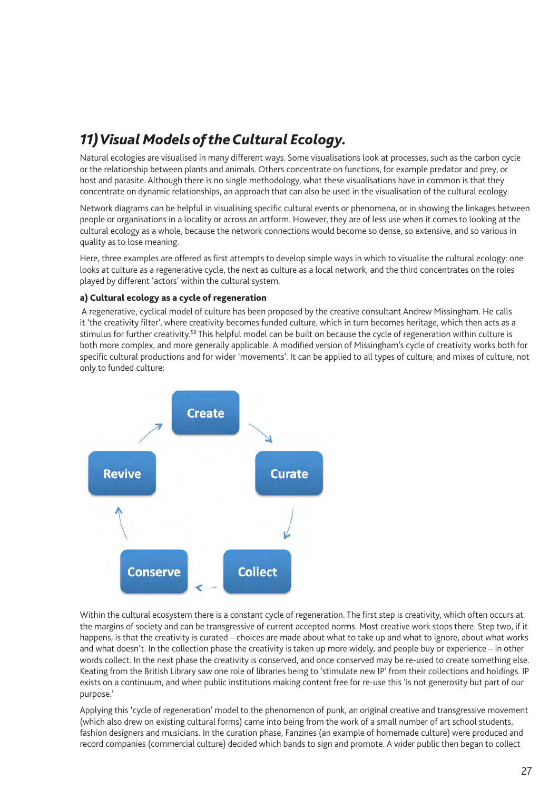# *11) Visual Models of the Cultural Ecology.*

Natural ecologies are visualised in many different ways. Some visualisations look at processes, such as the carbon cycle or the relationship between plants and animals. Others concentrate on functions, for example predator and prey, or host and parasite. Although there is no single methodology, what these visualisations have in common is that they concentrate on dynamic relationships, an approach that can also be used in the visualisation of the cultural ecology.

Network diagrams can be helpful in visualising specific cultural events or phenomena, or in showing the linkages between people or organisations in a locality or across an artform. However, they are of less use when it comes to looking at the cultural ecology as a whole, because the network connections would become so dense, so extensive, and so various in quality as to lose meaning.

Here, three examples are offered as first attempts to develop simple ways in which to visualise the cultural ecology: one looks at culture as a regenerative cycle, the next as culture as a local network, and the third concentrates on the roles played by different 'actors' within the cultural system.

#### a) Cultural ecology as a cycle of regeneration

 A regenerative, cyclical model of culture has been proposed by the creative consultant Andrew Missingham. He calls it 'the creativity filter', where creativity becomes funded culture, which in turn becomes heritage, which then acts as a stimulus for further creativity.<sup>58</sup> This helpful model can be built on because the cycle of regeneration within culture is both more complex, and more generally applicable. A modified version of Missingham's cycle of creativity works both for specific cultural productions and for wider 'movements'. It can be applied to all types of culture, and mixes of culture, not only to funded culture:



Within the cultural ecosystem there is a constant cycle of regeneration. The first step is creativity, which often occurs at the margins of society and can be transgressive of current accepted norms. Most creative work stops there. Step two, if it happens, is that the creativity is curated – choices are made about what to take up and what to ignore, about what works and what doesn't. In the collection phase the creativity is taken up more widely, and people buy or experience – in other words collect. In the next phase the creativity is conserved, and once conserved may be re-used to create something else. Keating from the British Library saw one role of libraries being to 'stimulate new IP' from their collections and holdings. IP exists on a continuum, and when public institutions making content free for re-use this 'is not generosity but part of our purpose.'

Applying this 'cycle of regeneration' model to the phenomenon of punk, an original creative and transgressive movement (which also drew on existing cultural forms) came into being from the work of a small number of art school students, fashion designers and musicians. In the curation phase, Fanzines (an example of homemade culture) were produced and record companies (commercial culture) decided which bands to sign and promote. A wider public then began to collect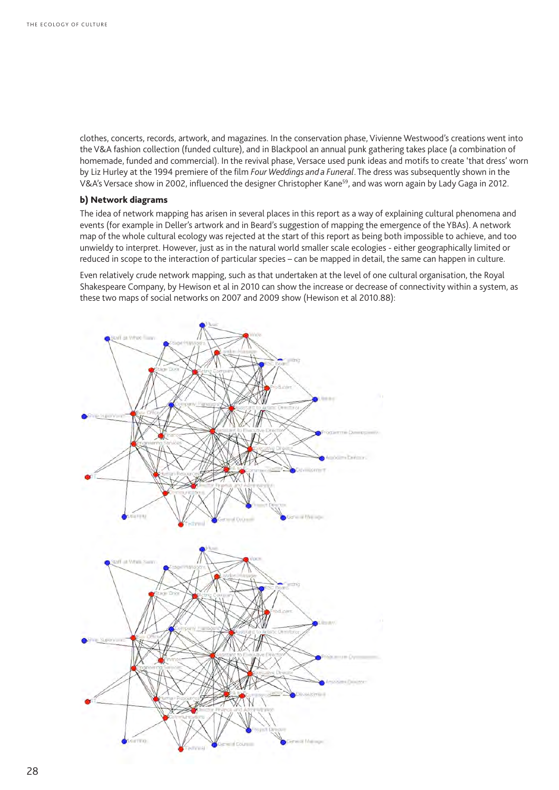clothes, concerts, records, artwork, and magazines. In the conservation phase, Vivienne Westwood's creations went into the V&A fashion collection (funded culture), and in Blackpool an annual punk gathering takes place (a combination of homemade, funded and commercial). In the revival phase, Versace used punk ideas and motifs to create 'that dress' worn by Liz Hurley at the 1994 premiere of the film *Four Weddings and a Funeral*. The dress was subsequently shown in the V&A's Versace show in 2002, influenced the designer Christopher Kane<sup>59</sup>, and was worn again by Lady Gaga in 2012.

#### b) Network diagrams

The idea of network mapping has arisen in several places in this report as a way of explaining cultural phenomena and events (for example in Deller's artwork and in Beard's suggestion of mapping the emergence of the YBAs). A network map of the whole cultural ecology was rejected at the start of this report as being both impossible to achieve, and too unwieldy to interpret. However, just as in the natural world smaller scale ecologies - either geographically limited or reduced in scope to the interaction of particular species – can be mapped in detail, the same can happen in culture.

Even relatively crude network mapping, such as that undertaken at the level of one cultural organisation, the Royal Shakespeare Company, by Hewison et al in 2010 can show the increase or decrease of connectivity within a system, as these two maps of social networks on 2007 and 2009 show (Hewison et al 2010.88):

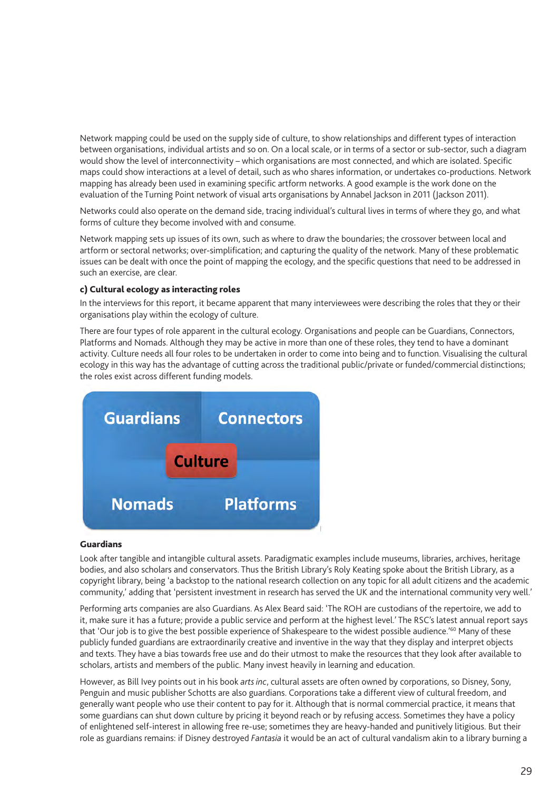Network mapping could be used on the supply side of culture, to show relationships and different types of interaction between organisations, individual artists and so on. On a local scale, or in terms of a sector or sub-sector, such a diagram would show the level of interconnectivity – which organisations are most connected, and which are isolated. Specific maps could show interactions at a level of detail, such as who shares information, or undertakes co-productions. Network mapping has already been used in examining specific artform networks. A good example is the work done on the evaluation of the Turning Point network of visual arts organisations by Annabel Jackson in 2011 (Jackson 2011).

Networks could also operate on the demand side, tracing individual's cultural lives in terms of where they go, and what forms of culture they become involved with and consume.

Network mapping sets up issues of its own, such as where to draw the boundaries; the crossover between local and artform or sectoral networks; over-simplification; and capturing the quality of the network. Many of these problematic issues can be dealt with once the point of mapping the ecology, and the specific questions that need to be addressed in such an exercise, are clear.

#### c) Cultural ecology as interacting roles

In the interviews for this report, it became apparent that many interviewees were describing the roles that they or their organisations play within the ecology of culture.

There are four types of role apparent in the cultural ecology. Organisations and people can be Guardians, Connectors, Platforms and Nomads. Although they may be active in more than one of these roles, they tend to have a dominant activity. Culture needs all four roles to be undertaken in order to come into being and to function. Visualising the cultural ecology in this way has the advantage of cutting across the traditional public/private or funded/commercial distinctions; the roles exist across different funding models.



#### Guardians

Look after tangible and intangible cultural assets. Paradigmatic examples include museums, libraries, archives, heritage bodies, and also scholars and conservators. Thus the British Library's Roly Keating spoke about the British Library, as a copyright library, being 'a backstop to the national research collection on any topic for all adult citizens and the academic community,' adding that 'persistent investment in research has served the UK and the international community very well.'

Performing arts companies are also Guardians. As Alex Beard said: 'The ROH are custodians of the repertoire, we add to it, make sure it has a future; provide a public service and perform at the highest level.' The RSC's latest annual report says that 'Our job is to give the best possible experience of Shakespeare to the widest possible audience.'60 Many of these publicly funded guardians are extraordinarily creative and inventive in the way that they display and interpret objects and texts. They have a bias towards free use and do their utmost to make the resources that they look after available to scholars, artists and members of the public. Many invest heavily in learning and education.

However, as Bill Ivey points out in his book *arts inc*, cultural assets are often owned by corporations, so Disney, Sony, Penguin and music publisher Schotts are also guardians. Corporations take a different view of cultural freedom, and generally want people who use their content to pay for it. Although that is normal commercial practice, it means that some guardians can shut down culture by pricing it beyond reach or by refusing access. Sometimes they have a policy of enlightened self-interest in allowing free re-use; sometimes they are heavy-handed and punitively litigious. But their role as guardians remains: if Disney destroyed *Fantasia* it would be an act of cultural vandalism akin to a library burning a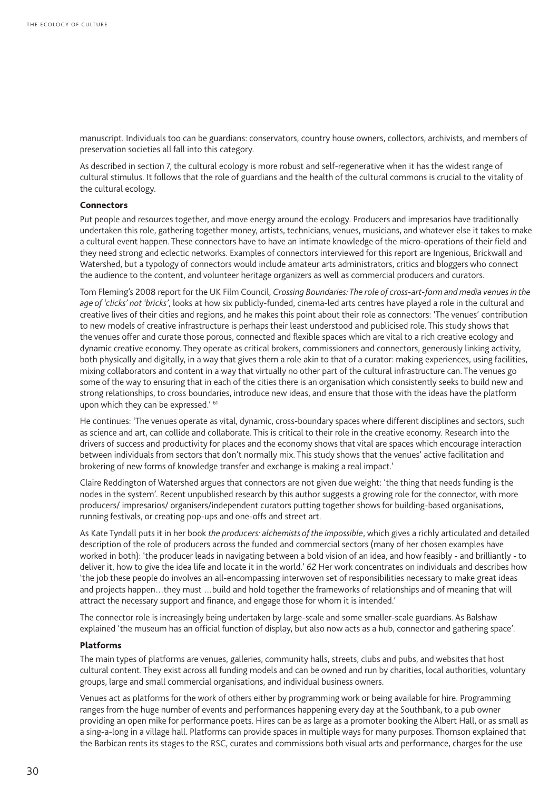manuscript. Individuals too can be guardians: conservators, country house owners, collectors, archivists, and members of preservation societies all fall into this category.

As described in section 7, the cultural ecology is more robust and self-regenerative when it has the widest range of cultural stimulus. It follows that the role of guardians and the health of the cultural commons is crucial to the vitality of the cultural ecology.

#### **Connectors**

Put people and resources together, and move energy around the ecology. Producers and impresarios have traditionally undertaken this role, gathering together money, artists, technicians, venues, musicians, and whatever else it takes to make a cultural event happen. These connectors have to have an intimate knowledge of the micro-operations of their field and they need strong and eclectic networks. Examples of connectors interviewed for this report are Ingenious, Brickwall and Watershed, but a typology of connectors would include amateur arts administrators, critics and bloggers who connect the audience to the content, and volunteer heritage organizers as well as commercial producers and curators.

Tom Fleming's 2008 report for the UK Film Council, *Crossing Boundaries: The role of cross-art-form and media venues in the age of 'clicks' not 'bricks'*, looks at how six publicly-funded, cinema-led arts centres have played a role in the cultural and creative lives of their cities and regions, and he makes this point about their role as connectors: 'The venues' contribution to new models of creative infrastructure is perhaps their least understood and publicised role. This study shows that the venues offer and curate those porous, connected and flexible spaces which are vital to a rich creative ecology and dynamic creative economy. They operate as critical brokers, commissioners and connectors, generously linking activity, both physically and digitally, in a way that gives them a role akin to that of a curator: making experiences, using facilities, mixing collaborators and content in a way that virtually no other part of the cultural infrastructure can. The venues go some of the way to ensuring that in each of the cities there is an organisation which consistently seeks to build new and strong relationships, to cross boundaries, introduce new ideas, and ensure that those with the ideas have the platform upon which they can be expressed.' 61

He continues: 'The venues operate as vital, dynamic, cross-boundary spaces where different disciplines and sectors, such as science and art, can collide and collaborate. This is critical to their role in the creative economy. Research into the drivers of success and productivity for places and the economy shows that vital are spaces which encourage interaction between individuals from sectors that don't normally mix. This study shows that the venues' active facilitation and brokering of new forms of knowledge transfer and exchange is making a real impact.'

Claire Reddington of Watershed argues that connectors are not given due weight: 'the thing that needs funding is the nodes in the system'. Recent unpublished research by this author suggests a growing role for the connector, with more producers/ impresarios/ organisers/independent curators putting together shows for building-based organisations, running festivals, or creating pop-ups and one-offs and street art.

As Kate Tyndall puts it in her book *the producers: alchemists of the impossible*, which gives a richly articulated and detailed description of the role of producers across the funded and commercial sectors (many of her chosen examples have worked in both): 'the producer leads in navigating between a bold vision of an idea, and how feasibly - and brilliantly - to deliver it, how to give the idea life and locate it in the world.' *62* Her work concentrates on individuals and describes how 'the job these people do involves an all-encompassing interwoven set of responsibilities necessary to make great ideas and projects happen…they must …build and hold together the frameworks of relationships and of meaning that will attract the necessary support and finance, and engage those for whom it is intended.'

The connector role is increasingly being undertaken by large-scale and some smaller-scale guardians. As Balshaw explained 'the museum has an official function of display, but also now acts as a hub, connector and gathering space'.

#### Platforms

The main types of platforms are venues, galleries, community halls, streets, clubs and pubs, and websites that host cultural content. They exist across all funding models and can be owned and run by charities, local authorities, voluntary groups, large and small commercial organisations, and individual business owners.

Venues act as platforms for the work of others either by programming work or being available for hire. Programming ranges from the huge number of events and performances happening every day at the Southbank, to a pub owner providing an open mike for performance poets. Hires can be as large as a promoter booking the Albert Hall, or as small as a sing-a-long in a village hall. Platforms can provide spaces in multiple ways for many purposes. Thomson explained that the Barbican rents its stages to the RSC, curates and commissions both visual arts and performance, charges for the use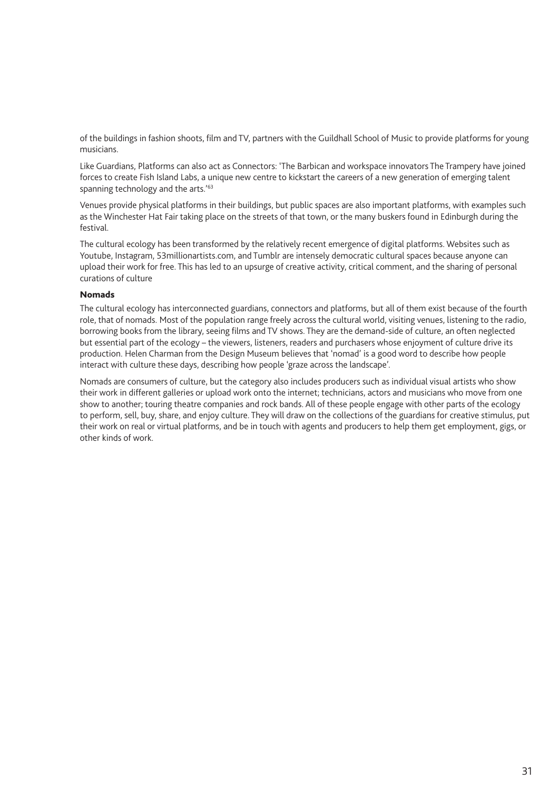of the buildings in fashion shoots, film and TV, partners with the Guildhall School of Music to provide platforms for young musicians.

Like Guardians, Platforms can also act as Connectors: 'The Barbican and workspace innovators The Trampery have joined forces to create Fish Island Labs, a unique new centre to kickstart the careers of a new generation of emerging talent spanning technology and the arts.'<sup>63</sup>

Venues provide physical platforms in their buildings, but public spaces are also important platforms, with examples such as the Winchester Hat Fair taking place on the streets of that town, or the many buskers found in Edinburgh during the festival.

The cultural ecology has been transformed by the relatively recent emergence of digital platforms. Websites such as Youtube, Instagram, 53millionartists.com, and Tumblr are intensely democratic cultural spaces because anyone can upload their work for free. This has led to an upsurge of creative activity, critical comment, and the sharing of personal curations of culture

#### Nomads

The cultural ecology has interconnected guardians, connectors and platforms, but all of them exist because of the fourth role, that of nomads. Most of the population range freely across the cultural world, visiting venues, listening to the radio, borrowing books from the library, seeing films and TV shows. They are the demand-side of culture, an often neglected but essential part of the ecology – the viewers, listeners, readers and purchasers whose enjoyment of culture drive its production. Helen Charman from the Design Museum believes that 'nomad' is a good word to describe how people interact with culture these days, describing how people 'graze across the landscape'.

Nomads are consumers of culture, but the category also includes producers such as individual visual artists who show their work in different galleries or upload work onto the internet; technicians, actors and musicians who move from one show to another; touring theatre companies and rock bands. All of these people engage with other parts of the ecology to perform, sell, buy, share, and enjoy culture. They will draw on the collections of the guardians for creative stimulus, put their work on real or virtual platforms, and be in touch with agents and producers to help them get employment, gigs, or other kinds of work.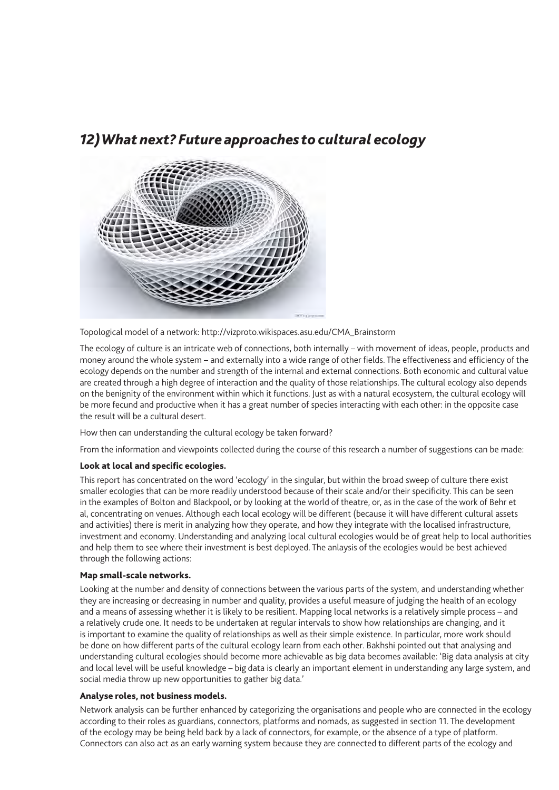### *12) What next? Future approaches to cultural ecology*



Topological model of a network: http://vizproto.wikispaces.asu.edu/CMA\_Brainstorm

The ecology of culture is an intricate web of connections, both internally – with movement of ideas, people, products and money around the whole system – and externally into a wide range of other fields. The effectiveness and efficiency of the ecology depends on the number and strength of the internal and external connections. Both economic and cultural value are created through a high degree of interaction and the quality of those relationships. The cultural ecology also depends on the benignity of the environment within which it functions. Just as with a natural ecosystem, the cultural ecology will be more fecund and productive when it has a great number of species interacting with each other: in the opposite case the result will be a cultural desert.

How then can understanding the cultural ecology be taken forward?

From the information and viewpoints collected during the course of this research a number of suggestions can be made:

#### Look at local and specific ecologies.

This report has concentrated on the word 'ecology' in the singular, but within the broad sweep of culture there exist smaller ecologies that can be more readily understood because of their scale and/or their specificity. This can be seen in the examples of Bolton and Blackpool, or by looking at the world of theatre, or, as in the case of the work of Behr et al, concentrating on venues. Although each local ecology will be different (because it will have different cultural assets and activities) there is merit in analyzing how they operate, and how they integrate with the localised infrastructure, investment and economy. Understanding and analyzing local cultural ecologies would be of great help to local authorities and help them to see where their investment is best deployed. The anlaysis of the ecologies would be best achieved through the following actions:

#### Map small-scale networks.

Looking at the number and density of connections between the various parts of the system, and understanding whether they are increasing or decreasing in number and quality, provides a useful measure of judging the health of an ecology and a means of assessing whether it is likely to be resilient. Mapping local networks is a relatively simple process – and a relatively crude one. It needs to be undertaken at regular intervals to show how relationships are changing, and it is important to examine the quality of relationships as well as their simple existence. In particular, more work should be done on how different parts of the cultural ecology learn from each other. Bakhshi pointed out that analysing and understanding cultural ecologies should become more achievable as big data becomes available: 'Big data analysis at city and local level will be useful knowledge – big data is clearly an important element in understanding any large system, and social media throw up new opportunities to gather big data.'

#### Analyse roles, not business models.

Network analysis can be further enhanced by categorizing the organisations and people who are connected in the ecology according to their roles as guardians, connectors, platforms and nomads, as suggested in section 11. The development of the ecology may be being held back by a lack of connectors, for example, or the absence of a type of platform. Connectors can also act as an early warning system because they are connected to different parts of the ecology and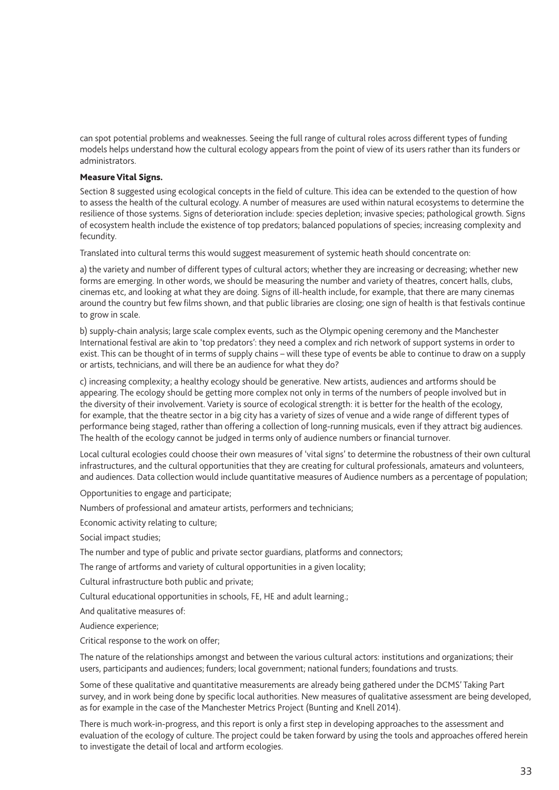can spot potential problems and weaknesses. Seeing the full range of cultural roles across different types of funding models helps understand how the cultural ecology appears from the point of view of its users rather than its funders or administrators.

#### Measure Vital Signs.

Section 8 suggested using ecological concepts in the field of culture. This idea can be extended to the question of how to assess the health of the cultural ecology. A number of measures are used within natural ecosystems to determine the resilience of those systems. Signs of deterioration include: species depletion; invasive species; pathological growth. Signs of ecosystem health include the existence of top predators; balanced populations of species; increasing complexity and fecundity.

Translated into cultural terms this would suggest measurement of systemic heath should concentrate on:

a) the variety and number of different types of cultural actors; whether they are increasing or decreasing; whether new forms are emerging. In other words, we should be measuring the number and variety of theatres, concert halls, clubs, cinemas etc, and looking at what they are doing. Signs of ill-health include, for example, that there are many cinemas around the country but few films shown, and that public libraries are closing; one sign of health is that festivals continue to grow in scale.

b) supply-chain analysis; large scale complex events, such as the Olympic opening ceremony and the Manchester International festival are akin to 'top predators': they need a complex and rich network of support systems in order to exist. This can be thought of in terms of supply chains – will these type of events be able to continue to draw on a supply or artists, technicians, and will there be an audience for what they do?

c) increasing complexity; a healthy ecology should be generative. New artists, audiences and artforms should be appearing. The ecology should be getting more complex not only in terms of the numbers of people involved but in the diversity of their involvement. Variety is source of ecological strength: it is better for the health of the ecology, for example, that the theatre sector in a big city has a variety of sizes of venue and a wide range of different types of performance being staged, rather than offering a collection of long-running musicals, even if they attract big audiences. The health of the ecology cannot be judged in terms only of audience numbers or financial turnover.

Local cultural ecologies could choose their own measures of 'vital signs' to determine the robustness of their own cultural infrastructures, and the cultural opportunities that they are creating for cultural professionals, amateurs and volunteers, and audiences. Data collection would include quantitative measures of Audience numbers as a percentage of population;

Opportunities to engage and participate;

Numbers of professional and amateur artists, performers and technicians;

Economic activity relating to culture;

Social impact studies;

The number and type of public and private sector guardians, platforms and connectors;

The range of artforms and variety of cultural opportunities in a given locality;

Cultural infrastructure both public and private;

Cultural educational opportunities in schools, FE, HE and adult learning.;

And qualitative measures of:

Audience experience;

Critical response to the work on offer;

The nature of the relationships amongst and between the various cultural actors: institutions and organizations; their users, participants and audiences; funders; local government; national funders; foundations and trusts.

Some of these qualitative and quantitative measurements are already being gathered under the DCMS' Taking Part survey, and in work being done by specific local authorities. New measures of qualitative assessment are being developed, as for example in the case of the Manchester Metrics Project (Bunting and Knell 2014).

There is much work-in-progress, and this report is only a first step in developing approaches to the assessment and evaluation of the ecology of culture. The project could be taken forward by using the tools and approaches offered herein to investigate the detail of local and artform ecologies.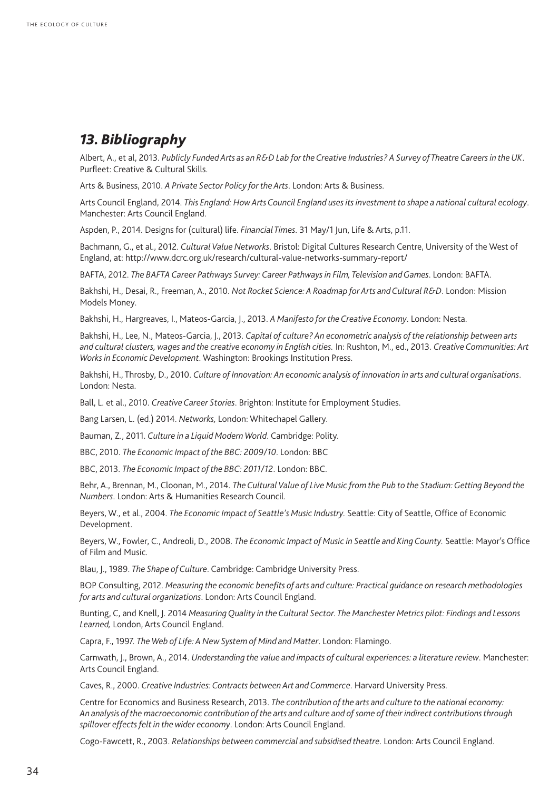### *13. Bibliography*

Albert, A., et al, 2013. *Publicly Funded Arts as an R&D Lab for the Creative Industries? A Survey of Theatre Careers in the UK*. Purfleet: Creative & Cultural Skills.

Arts & Business, 2010. *A Private Sector Policy for the Arts*. London: Arts & Business.

Arts Council England, 2014. *This England: How Arts Council England uses its investment to shape a national cultural ecology*. Manchester: Arts Council England.

Aspden, P., 2014. Designs for (cultural) life. *Financial Times*. 31 May/1 Jun, Life & Arts, p.11.

Bachmann, G., et al., 2012. *Cultural Value Networks*. Bristol: Digital Cultures Research Centre, University of the West of England, at: http://www.dcrc.org.uk/research/cultural-value-networks-summary-report/

BAFTA, 2012. *The BAFTA Career Pathways Survey: Career Pathways in Film, Television and Games*. London: BAFTA.

Bakhshi, H., Desai, R., Freeman, A., 2010. *Not Rocket Science: A Roadmap for Arts and Cultural R&D*. London: Mission Models Money.

Bakhshi, H., Hargreaves, I., Mateos-Garcia, J., 2013. *A Manifesto for the Creative Economy*. London: Nesta.

Bakhshi, H., Lee, N., Mateos-Garcia, J., 2013. *Capital of culture? An econometric analysis of the relationship between arts and cultural clusters, wages and the creative economy in English cities.* In: Rushton, M., ed., 2013. *Creative Communities: Art Works in Economic Development*. Washington: Brookings Institution Press.

Bakhshi, H., Throsby, D., 2010. *Culture of Innovation: An economic analysis of innovation in arts and cultural organisations*. London: Nesta.

Ball, L. et al., 2010. *Creative Career Stories*. Brighton: Institute for Employment Studies.

Bang Larsen, L. (ed.) 2014. *Networks,* London: Whitechapel Gallery.

Bauman, Z., 2011. *Culture in a Liquid Modern World*. Cambridge: Polity.

BBC, 2010. *The Economic Impact of the BBC: 2009/10*. London: BBC

BBC, 2013. *The Economic Impact of the BBC: 2011/12*. London: BBC.

Behr, A., Brennan, M., Cloonan, M., 2014. *The Cultural Value of Live Music from the Pub to the Stadium: Getting Beyond the Numbers*. London: Arts & Humanities Research Council.

Beyers, W., et al., 2004. *The Economic Impact of Seattle's Music Industry.* Seattle: City of Seattle, Office of Economic Development.

Beyers, W., Fowler, C., Andreoli, D., 2008. *The Economic Impact of Music in Seattle and King County.* Seattle: Mayor's Office of Film and Music.

Blau, J., 1989. *The Shape of Culture*. Cambridge: Cambridge University Press.

BOP Consulting, 2012. *Measuring the economic benefits of arts and culture: Practical guidance on research methodologies for arts and cultural organizations*. London: Arts Council England.

Bunting, C, and Knell, J. 2014 *Measuring Quality in the Cultural Sector. The Manchester Metrics pilot: Findings and Lessons Learned,* London, Arts Council England.

Capra, F., 1997. *The Web of Life: A New System of Mind and Matter*. London: Flamingo.

Carnwath, J., Brown, A., 2014. *Understanding the value and impacts of cultural experiences: a literature review*. Manchester: Arts Council England.

Caves, R., 2000. *Creative Industries: Contracts between Art and Commerce*. Harvard University Press.

Centre for Economics and Business Research, 2013. *The contribution of the arts and culture to the national economy: An analysis of the macroeconomic contribution of the arts and culture and of some of their indirect contributions through spillover effects felt in the wider economy*. London: Arts Council England.

Cogo-Fawcett, R., 2003. *Relationships between commercial and subsidised theatre*. London: Arts Council England.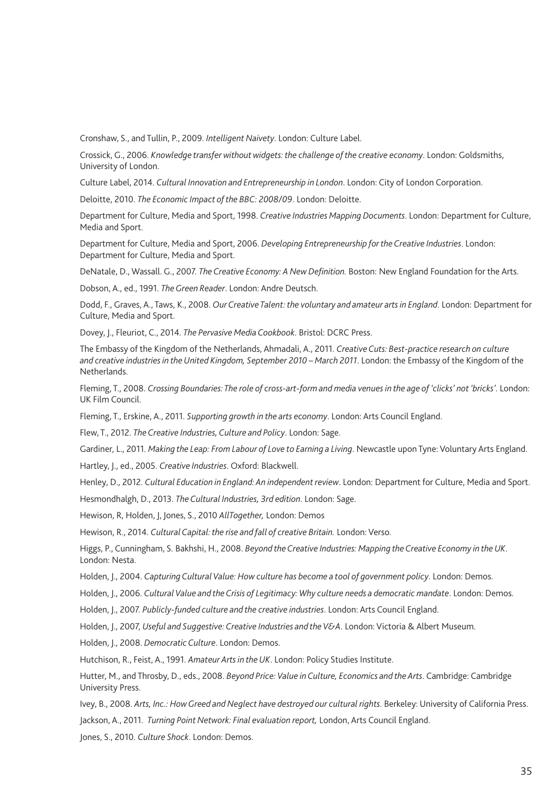Cronshaw, S., and Tullin, P., 2009. *Intelligent Naivety*. London: Culture Label.

Crossick, G., 2006. *Knowledge transfer without widgets: the challenge of the creative economy*. London: Goldsmiths, University of London.

Culture Label, 2014. *Cultural Innovation and Entrepreneurship in London*. London: City of London Corporation.

Deloitte, 2010. *The Economic Impact of the BBC: 2008/09*. London: Deloitte.

Department for Culture, Media and Sport, 1998. *Creative Industries Mapping Documents*. London: Department for Culture, Media and Sport.

Department for Culture, Media and Sport, 2006. *Developing Entrepreneurship for the Creative Industries*. London: Department for Culture, Media and Sport.

DeNatale, D., Wassall. G., 2007. *The Creative Economy: A New Definition.* Boston: New England Foundation for the Arts.

Dobson, A., ed., 1991. *The Green Reader*. London: Andre Deutsch.

Dodd, F., Graves, A., Taws, K., 2008. *Our Creative Talent: the voluntary and amateur arts in England*. London: Department for Culture, Media and Sport.

Dovey, J., Fleuriot, C., 2014. *The Pervasive Media Cookbook*. Bristol: DCRC Press.

The Embassy of the Kingdom of the Netherlands, Ahmadali, A., 2011. *Creative Cuts: Best-practice research on culture and creative industries in the United Kingdom, September 2010 – March 2011*. London: the Embassy of the Kingdom of the Netherlands.

Fleming, T., 2008. *Crossing Boundaries: The role of cross-art-form and media venues in the age of 'clicks' not 'bricks'*. London: UK Film Council.

Fleming, T., Erskine, A., 2011. *Supporting growth in the arts economy*. London: Arts Council England.

Flew, T., 2012. *The Creative Industries, Culture and Policy*. London: Sage.

Gardiner, L., 2011. *Making the Leap: From Labour of Love to Earning a Living*. Newcastle upon Tyne: Voluntary Arts England.

Hartley, J., ed., 2005. *Creative Industries*. Oxford: Blackwell.

Henley, D., 2012. *Cultural Education in England: An independent review*. London: Department for Culture, Media and Sport.

Hesmondhalgh, D., 2013. *The Cultural Industries, 3rd edition*. London: Sage.

Hewison, R, Holden, J, Jones, S., 2010 *AllTogether,* London: Demos

Hewison, R., 2014. *Cultural Capital: the rise and fall of creative Britain.* London: Verso.

Higgs, P., Cunningham, S. Bakhshi, H., 2008. *Beyond the Creative Industries: Mapping the Creative Economy in the UK*. London: Nesta.

Holden, J., 2004. *Capturing Cultural Value: How culture has become a tool of government policy*. London: Demos.

Holden, J., 2006. *Cultural Value and the Crisis of Legitimacy: Why culture needs a democratic mandate*. London: Demos.

Holden, J., 2007. *Publicly-funded culture and the creative industries*. London: Arts Council England.

Holden, J., 2007, *Useful and Suggestive: Creative Industries and the V&A*. London: Victoria & Albert Museum.

Holden, J., 2008. *Democratic Culture*. London: Demos.

Hutchison, R., Feist, A., 1991. *Amateur Arts in the UK*. London: Policy Studies Institute.

Hutter, M., and Throsby, D., eds., 2008. *Beyond Price: Value in Culture, Economics and the Arts*. Cambridge: Cambridge University Press.

Ivey, B., 2008. *Arts, Inc.: How Greed and Neglect have destroyed our cultural rights*. Berkeley: University of California Press.

Jackson, A., 2011. *Turning Point Network: Final evaluation report,* London, Arts Council England.

Jones, S., 2010. *Culture Shock*. London: Demos.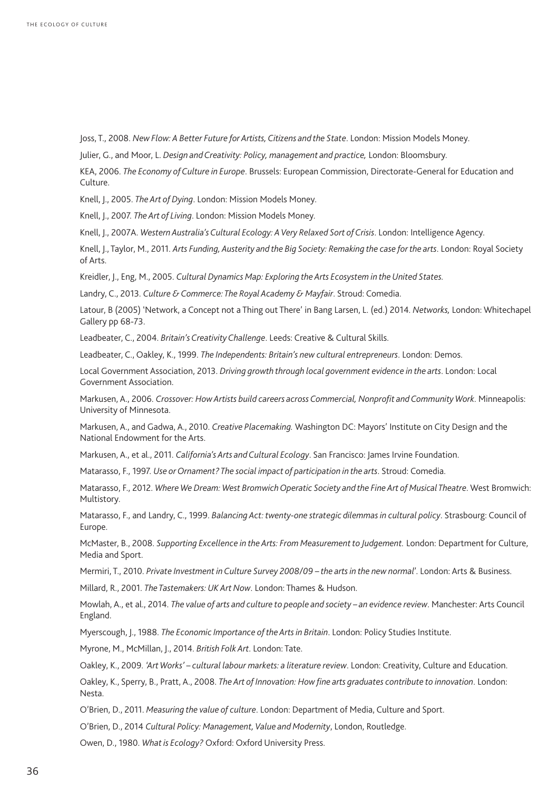Joss, T., 2008. *New Flow: A Better Future for Artists, Citizens and the State*. London: Mission Models Money.

Julier, G., and Moor, L. *Design and Creativity: Policy, management and practice,* London: Bloomsbury.

KEA, 2006. *The Economy of Culture in Europe*. Brussels: European Commission, Directorate-General for Education and Culture.

Knell, J., 2005. *The Art of Dying*. London: Mission Models Money.

Knell, J., 2007. *The Art of Living*. London: Mission Models Money.

Knell, J., 2007A. *Western Australia's Cultural Ecology: A Very Relaxed Sort of Crisis*. London: Intelligence Agency.

Knell, J., Taylor, M., 2011. *Arts Funding, Austerity and the Big Society: Remaking the case for the arts*. London: Royal Society of Arts.

Kreidler, J., Eng, M., 2005. *Cultural Dynamics Map: Exploring the Arts Ecosystem in the United States.*

Landry, C., 2013. *Culture & Commerce: The Royal Academy & Mayfair*. Stroud: Comedia.

Latour, B (2005) 'Network, a Concept not a Thing out There' in Bang Larsen, L. (ed.) 2014. *Networks,* London: Whitechapel Gallery pp 68-73.

Leadbeater, C., 2004. *Britain's Creativity Challenge*. Leeds: Creative & Cultural Skills.

Leadbeater, C., Oakley, K., 1999. *The Independents: Britain's new cultural entrepreneurs*. London: Demos.

Local Government Association, 2013. *Driving growth through local government evidence in the arts*. London: Local Government Association.

Markusen, A., 2006. *Crossover: How Artists build careers across Commercial, Nonprofit and Community Work*. Minneapolis: University of Minnesota.

Markusen, A., and Gadwa, A., 2010. *Creative Placemaking.* Washington DC: Mayors' Institute on City Design and the National Endowment for the Arts.

Markusen, A., et al., 2011. *California's Arts and Cultural Ecology*. San Francisco: James Irvine Foundation.

Matarasso, F., 1997. *Use or Ornament? The social impact of participation in the arts*. Stroud: Comedia.

Matarasso, F., 2012. *Where We Dream: West Bromwich Operatic Society and the Fine Art of Musical Theatre*. West Bromwich: Multistory.

Matarasso, F., and Landry, C., 1999. *Balancing Act: twenty-one strategic dilemmas in cultural policy*. Strasbourg: Council of Europe.

McMaster, B., 2008. *Supporting Excellence in the Arts: From Measurement to Judgement.* London: Department for Culture, Media and Sport.

Mermiri, T., 2010. *Private Investment in Culture Survey 2008/09 – the arts in the new normal*'. London: Arts & Business.

Millard, R., 2001. *The Tastemakers: UK Art Now*. London: Thames & Hudson.

Mowlah, A., et al., 2014. *The value of arts and culture to people and society – an evidence review*. Manchester: Arts Council England.

Myerscough, J., 1988. *The Economic Importance of the Arts in Britain*. London: Policy Studies Institute.

Myrone, M., McMillan, J., 2014. *British Folk Art*. London: Tate.

Oakley, K., 2009. *'Art Works' – cultural labour markets: a literature review*. London: Creativity, Culture and Education.

Oakley, K., Sperry, B., Pratt, A., 2008. *The Art of Innovation: How fine arts graduates contribute to innovation*. London: Nesta.

O'Brien, D., 2011. *Measuring the value of culture*. London: Department of Media, Culture and Sport.

O'Brien, D., 2014 *Cultural Policy: Management, Value and Modernity*, London, Routledge.

Owen, D., 1980. *What is Ecology?* Oxford: Oxford University Press.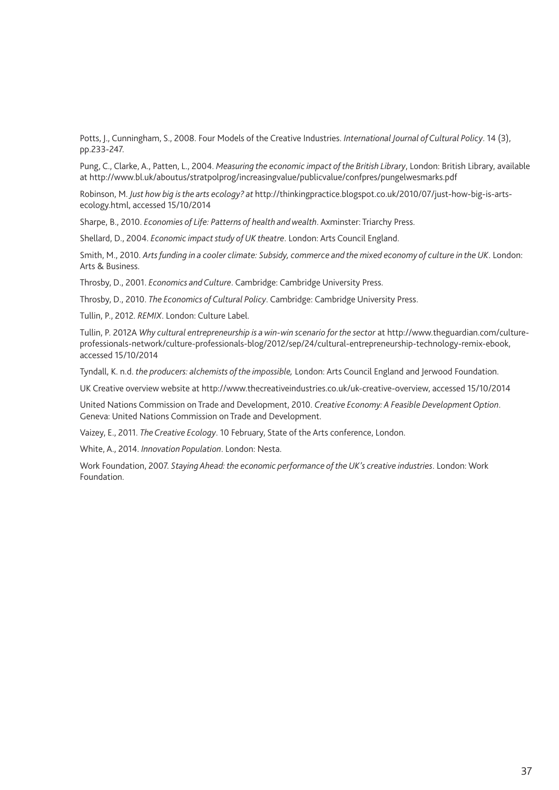Potts, J., Cunningham, S., 2008. Four Models of the Creative Industries. *International Journal of Cultural Policy*. 14 (3), pp.233-247.

Pung, C., Clarke, A., Patten, L., 2004. *Measuring the economic impact of the British Library*, London: British Library, available at http://www.bl.uk/aboutus/stratpolprog/increasingvalue/publicvalue/confpres/pungelwesmarks.pdf

Robinson, M. *Just how big is the arts ecology? at* http://thinkingpractice.blogspot.co.uk/2010/07/just-how-big-is-artsecology.html, accessed 15/10/2014

Sharpe, B., 2010. *Economies of Life: Patterns of health and wealth*. Axminster: Triarchy Press.

Shellard, D., 2004. *Economic impact study of UK theatre*. London: Arts Council England.

Smith, M., 2010. *Arts funding in a cooler climate: Subsidy, commerce and the mixed economy of culture in the UK*. London: Arts & Business.

Throsby, D., 2001. *Economics and Culture*. Cambridge: Cambridge University Press.

Throsby, D., 2010. *The Economics of Cultural Policy*. Cambridge: Cambridge University Press.

Tullin, P., 2012. *REMIX*. London: Culture Label.

Tullin, P. 2012A *Why cultural entrepreneurship is a win-win scenario for the sector* at [http://www.theguardian.com/culture](http://www.theguardian.com/culture-professionals-network/culture-professionals-blog/2012/sep/24/cultural-entrepreneurship-technology-remix-ebook)[professionals-network/culture-professionals-blog/2012/sep/24/cultural-entrepreneurship-technology-remix-ebook,](http://www.theguardian.com/culture-professionals-network/culture-professionals-blog/2012/sep/24/cultural-entrepreneurship-technology-remix-ebook) accessed 15/10/2014

Tyndall, K. n.d. *the producers: alchemists of the impossible,* London: Arts Council England and Jerwood Foundation.

UK Creative overview website at <http://www.thecreativeindustries.co.uk/uk-creative-overview>, accessed 15/10/2014

United Nations Commission on Trade and Development, 2010. *Creative Economy: A Feasible Development Option*. Geneva: United Nations Commission on Trade and Development.

Vaizey, E., 2011. *The Creative Ecology*. 10 February, State of the Arts conference, London.

White, A., 2014. *Innovation Population*. London: Nesta.

Work Foundation, 2007. *Staying Ahead: the economic performance of the UK's creative industries*. London: Work Foundation.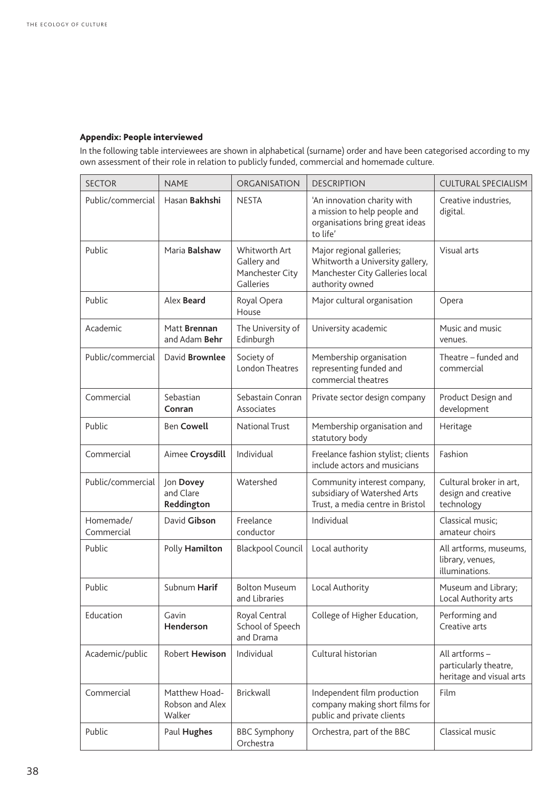#### Appendix: People interviewed

In the following table interviewees are shown in alphabetical (surname) order and have been categorised according to my own assessment of their role in relation to publicly funded, commercial and homemade culture.

| <b>SECTOR</b>           | <b>NAME</b>                                | ORGANISATION                                                 | <b>DESCRIPTION</b>                                                                                                 | <b>CULTURAL SPECIALISM</b>                                          |
|-------------------------|--------------------------------------------|--------------------------------------------------------------|--------------------------------------------------------------------------------------------------------------------|---------------------------------------------------------------------|
| Public/commercial       | Hasan Bakhshi                              | <b>NESTA</b>                                                 | 'An innovation charity with<br>a mission to help people and<br>organisations bring great ideas<br>to life'         | Creative industries,<br>digital.                                    |
| Public                  | Maria <b>Balshaw</b>                       | Whitworth Art<br>Gallery and<br>Manchester City<br>Galleries | Major regional galleries;<br>Whitworth a University gallery,<br>Manchester City Galleries local<br>authority owned | Visual arts                                                         |
| Public                  | Alex Beard                                 | Royal Opera<br>House                                         | Major cultural organisation                                                                                        | Opera                                                               |
| Academic                | Matt Brennan<br>and Adam Behr              | The University of<br>Edinburgh                               | University academic                                                                                                | Music and music<br>venues.                                          |
| Public/commercial       | David <b>Brownlee</b>                      | Society of<br><b>London Theatres</b>                         | Membership organisation<br>representing funded and<br>commercial theatres                                          | Theatre - funded and<br>commercial                                  |
| Commercial              | Sebastian<br>Conran                        | Sebastain Conran<br>Associates                               | Private sector design company                                                                                      | Product Design and<br>development                                   |
| Public                  | <b>Ben Cowell</b>                          | <b>National Trust</b>                                        | Membership organisation and<br>statutory body                                                                      | Heritage                                                            |
| Commercial              | Aimee Croysdill                            | Individual                                                   | Freelance fashion stylist; clients<br>include actors and musicians                                                 | Fashion                                                             |
| Public/commercial       | Jon Dovey<br>and Clare<br>Reddington       | Watershed                                                    | Community interest company,<br>subsidiary of Watershed Arts<br>Trust, a media centre in Bristol                    | Cultural broker in art,<br>design and creative<br>technology        |
| Homemade/<br>Commercial | David Gibson                               | Freelance<br>conductor                                       | Individual                                                                                                         | Classical music;<br>amateur choirs                                  |
| Public                  | Polly Hamilton                             | <b>Blackpool Council</b>                                     | Local authority                                                                                                    | All artforms, museums,<br>library, venues,<br>illuminations.        |
| Public                  | Subnum Harif                               | <b>Bolton Museum</b><br>and Libraries                        | Local Authority                                                                                                    | Museum and Library;<br>Local Authority arts                         |
| Education               | Gavin<br>Henderson                         | Royal Central<br>School of Speech<br>and Drama               | College of Higher Education,                                                                                       | Performing and<br>Creative arts                                     |
| Academic/public         | Robert Hewison                             | Individual                                                   | Cultural historian                                                                                                 | All artforms -<br>particularly theatre,<br>heritage and visual arts |
| Commercial              | Matthew Hoad-<br>Robson and Alex<br>Walker | <b>Brickwall</b>                                             | Independent film production<br>company making short films for<br>public and private clients                        | Film                                                                |
| Public                  | Paul Hughes                                | <b>BBC Symphony</b><br>Orchestra                             | Orchestra, part of the BBC                                                                                         | Classical music                                                     |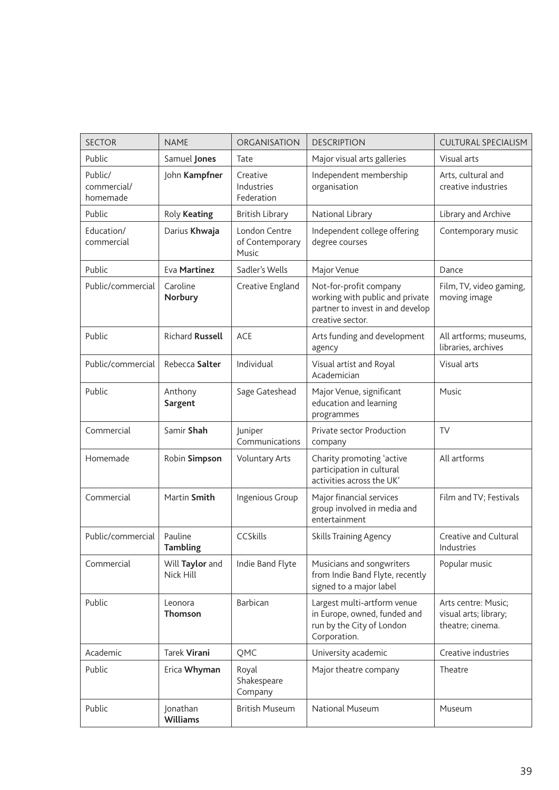| <b>SECTOR</b>                      | <b>NAME</b>                  | ORGANISATION                              | <b>DESCRIPTION</b>                                                                                                | <b>CULTURAL SPECIALISM</b>                                       |
|------------------------------------|------------------------------|-------------------------------------------|-------------------------------------------------------------------------------------------------------------------|------------------------------------------------------------------|
| Public                             | Samuel Jones                 | Tate                                      | Major visual arts galleries                                                                                       | Visual arts                                                      |
| Public/<br>commercial/<br>homemade | John Kampfner                | Creative<br>Industries<br>Federation      | Independent membership<br>organisation                                                                            | Arts, cultural and<br>creative industries                        |
| Public                             | Roly Keating                 | <b>British Library</b>                    | National Library                                                                                                  | Library and Archive                                              |
| Education/<br>commercial           | Darius Khwaja                | London Centre<br>of Contemporary<br>Music | Independent college offering<br>degree courses                                                                    | Contemporary music                                               |
| Public                             | Eva Martinez                 | Sadler's Wells                            | Major Venue                                                                                                       | Dance                                                            |
| Public/commercial                  | Caroline<br>Norbury          | Creative England                          | Not-for-profit company<br>working with public and private<br>partner to invest in and develop<br>creative sector. | Film, TV, video gaming,<br>moving image                          |
| Public                             | <b>Richard Russell</b>       | ACE                                       | Arts funding and development<br>agency                                                                            | All artforms; museums,<br>libraries, archives                    |
| Public/commercial                  | Rebecca Salter               | Individual                                | Visual artist and Royal<br>Academician                                                                            | Visual arts                                                      |
| Public                             | Anthony<br>Sargent           | Sage Gateshead                            | Major Venue, significant<br>education and learning<br>programmes                                                  | Music                                                            |
| Commercial                         | Samir Shah                   | Juniper<br>Communications                 | Private sector Production<br>company                                                                              | <b>TV</b>                                                        |
| Homemade                           | Robin Simpson                | <b>Voluntary Arts</b>                     | Charity promoting 'active<br>participation in cultural<br>activities across the UK'                               | All artforms                                                     |
| Commercial                         | Martin Smith                 | Ingenious Group                           | Major financial services<br>group involved in media and<br>entertainment                                          | Film and TV; Festivals                                           |
| Public/commercial                  | Pauline<br><b>Tambling</b>   | CCSkills                                  | <b>Skills Training Agency</b>                                                                                     | Creative and Cultural<br>Industries                              |
| Commercial                         | Will Taylor and<br>Nick Hill | Indie Band Flyte                          | Musicians and songwriters<br>from Indie Band Flyte, recently<br>signed to a major label                           | Popular music                                                    |
| Public                             | Leonora<br><b>Thomson</b>    | Barbican                                  | Largest multi-artform venue<br>in Europe, owned, funded and<br>run by the City of London<br>Corporation.          | Arts centre: Music;<br>visual arts; library;<br>theatre; cinema. |
| Academic                           | <b>Tarek Virani</b>          | QMC                                       | University academic                                                                                               | Creative industries                                              |
| Public                             | Erica Whyman                 | Royal<br>Shakespeare<br>Company           | Major theatre company                                                                                             | Theatre                                                          |
| Public                             | Jonathan<br><b>Williams</b>  | <b>British Museum</b>                     | National Museum                                                                                                   | Museum                                                           |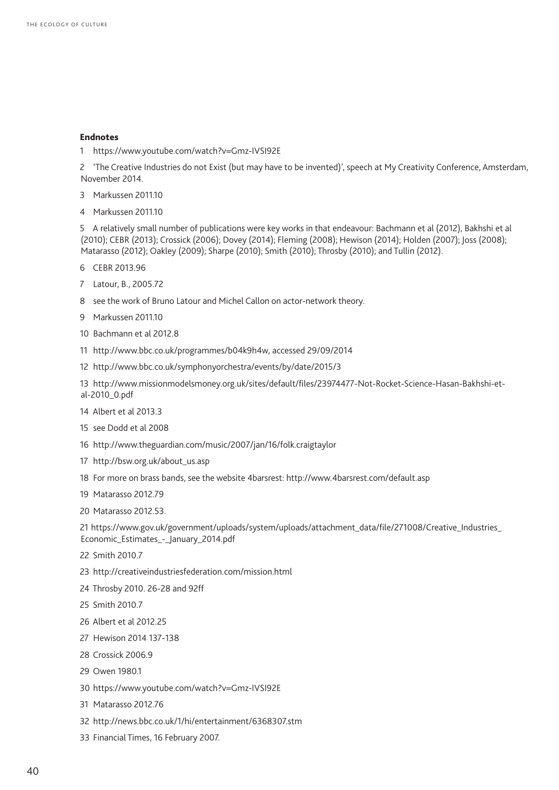#### Endnotes

1 https://www.youtube.com/watch?v=Gmz-IVSI92E

2 'The Creative Industries do not Exist (but may have to be invented)', speech at My Creativity Conference, Amsterdam, November 2014.

- 3 Markussen 2011.10
- 4 Markussen 2011.10

5 A relatively small number of publications were key works in that endeavour: Bachmann et al (2012), Bakhshi et al (2010); CEBR (2013); Crossick (2006); Dovey (2014); Fleming (2008); Hewison (2014); Holden (2007); Joss (2008); Matarasso (2012); Oakley (2009); Sharpe (2010); Smith (2010); Throsby (2010); and Tullin (2012).

- 6 CEBR 2013.96
- 7 Latour, B., 2005.72
- 8 see the work of Bruno Latour and Michel Callon on actor-network theory.
- 9 Markussen 2011.10
- 10 Bachmann et al 2012.8
- 11 [http://www.bbc.co.uk/programmes/b04k9h4w,](http://www.bbc.co.uk/programmes/b04k9h4w) accessed 29/09/2014
- 12 http://www.bbc.co.uk/symphonyorchestra/events/by/date/2015/3

13 http://www.missionmodelsmoney.org.uk/sites/default/files/23974477-Not-Rocket-Science-Hasan-Bakhshi-etal-2010\_0.pdf

- 14 Albert et al 2013.3
- 15 see Dodd et al 2008
- 16 http://www.theguardian.com/music/2007/jan/16/folk.craigtaylor
- 17 http://bsw.org.uk/about\_us.asp
- 18 For more on brass bands, see the website 4barsrest: http://www.4barsrest.com/default.asp
- 19 Matarasso 2012.79
- 20 Matarasso 2012.53.

21 https://www.gov.uk/government/uploads/system/uploads/attachment\_data/file/271008/Creative\_Industries\_ Economic\_Estimates\_-\_January\_2014.pdf

- 22 Smith 2010.7
- 23 http://creativeindustriesfederation.com/mission.html
- 24 Throsby 2010. 26-28 and 92ff
- 25 Smith 2010.7
- 26 Albert et al 2012.25
- 27 Hewison 2014 137-138
- 28 Crossick 2006.9
- 29 Owen 1980.1
- 30 https://www.youtube.com/watch?v=Gmz-IVSI92E
- 31 Matarasso 2012.76
- 32 http://news.bbc.co.uk/1/hi/entertainment/6368307.stm
- 33 Financial Times, 16 February 2007.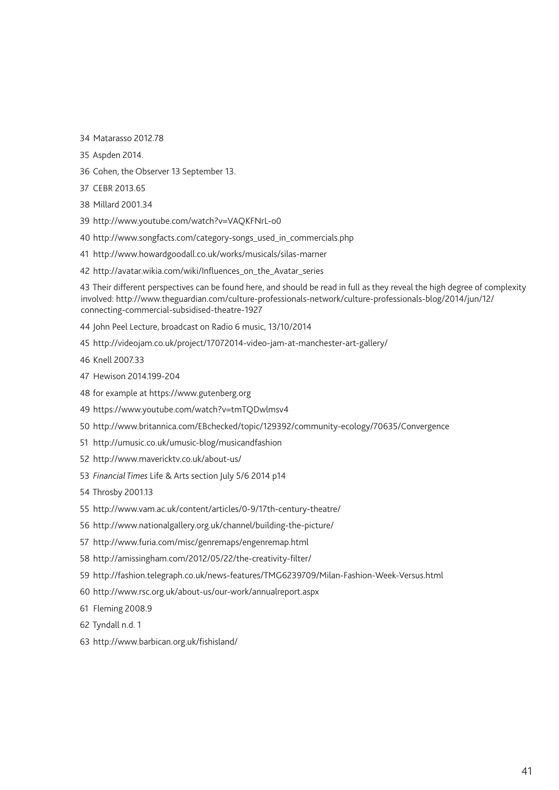34 Matarasso 2012.78

- 35 Aspden 2014.
- 36 Cohen, the Observer 13 September 13.
- 37 CEBR 2013.65
- 38 Millard 2001.34
- 39 http://www.youtube.com/watch?v=VAQKFNrL-o0
- 40 http://www.songfacts.com/category-songs\_used\_in\_commercials.php
- 41 http://www.howardgoodall.co.uk/works/musicals/silas-marner
- 42 http://avatar.wikia.com/wiki/Influences\_on\_the\_Avatar\_series

43 Their different perspectives can be found here, and should be read in full as they reveal the high degree of complexity involved: [http://www.theguardian.com/culture-professionals-network/culture-professionals-blog/2014/jun/12/](http://www.theguardian.com/culture-professionals-network/culture-professionals-blog/2014/jun/12/connecting-commercial-subsidised-theatre-1927) [connecting-commercial-subsidised-theatre-1927](http://www.theguardian.com/culture-professionals-network/culture-professionals-blog/2014/jun/12/connecting-commercial-subsidised-theatre-1927)

- 44 John Peel Lecture, broadcast on Radio 6 music, 13/10/2014
- 45 http://videojam.co.uk/project/17072014-video-jam-at-manchester-art-gallery/
- 46 Knell 2007.33
- 47 Hewison 2014.199-204
- 48 for example at https://www.gutenberg.org
- 49 https://www.youtube.com/watch?v=tmTQDwlmsv4
- 50 http://www.britannica.com/EBchecked/topic/129392/community-ecology/70635/Convergence
- 51 http://umusic.co.uk/umusic-blog/musicandfashion
- 52 http://www.mavericktv.co.uk/about-us/
- 53 *Financial Times* Life & Arts section July 5/6 2014 p14
- 54 Throsby 2001.13
- 55 http://www.vam.ac.uk/content/articles/0-9/17th-century-theatre/
- 56 http://www.nationalgallery.org.uk/channel/building-the-picture/
- 57 http://www.furia.com/misc/genremaps/engenremap.html
- 58 http://amissingham.com/2012/05/22/the-creativity-filter/
- 59 http://fashion.telegraph.co.uk/news-features/TMG6239709/Milan-Fashion-Week-Versus.html
- 60 http://www.rsc.org.uk/about-us/our-work/annualreport.aspx
- 61 Fleming 2008.9
- 62 Tyndall n.d. 1
- 63 http://www.barbican.org.uk/fishisland/